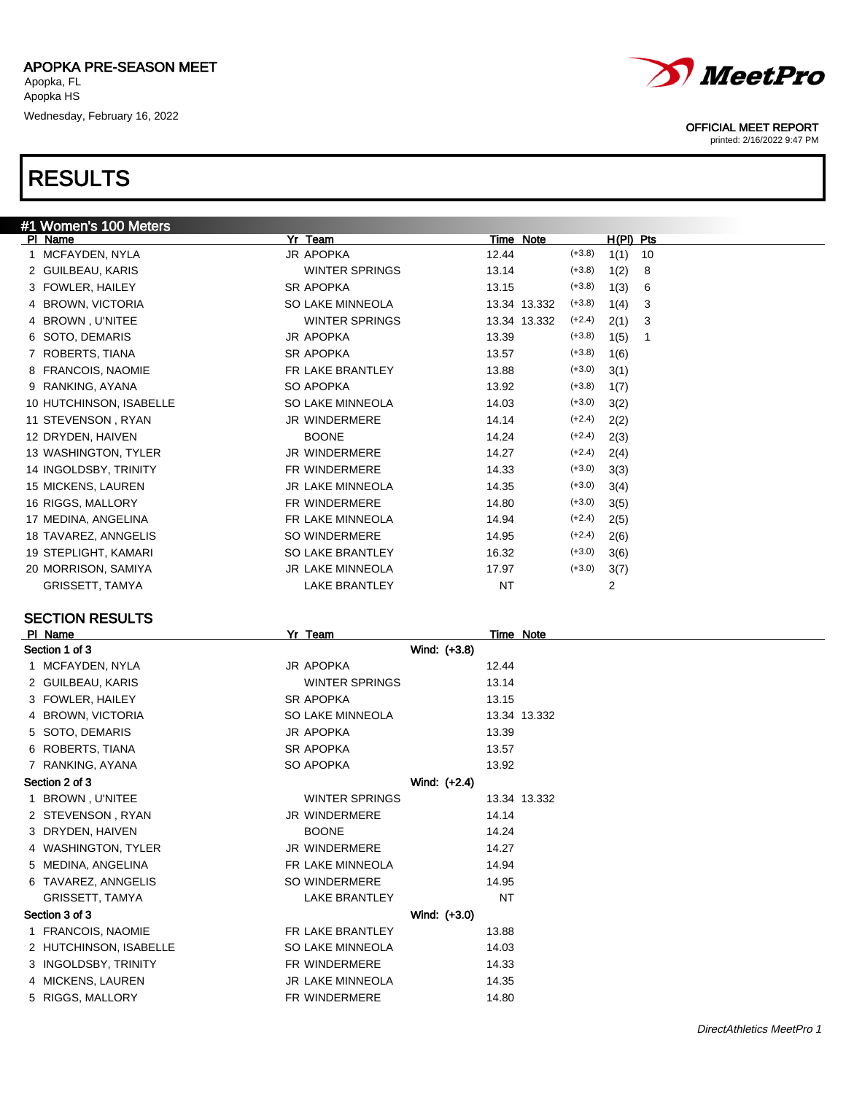

#### OFFICIAL MEET REPORT

printed: 2/16/2022 9:47 PM

| #1 Women's 100 Meters        |                         |              |                  |    |
|------------------------------|-------------------------|--------------|------------------|----|
| PI Name                      | Yr Team                 | Time Note    | $H(PI)$ Pts      |    |
| MCFAYDEN, NYLA               | JR APOPKA               | 12.44        | $(+3.8)$<br>1(1) | 10 |
| 2 GUILBEAU, KARIS            | <b>WINTER SPRINGS</b>   | 13.14        | $(+3.8)$<br>1(2) | 8  |
| 3 FOWLER, HAILEY             | SR APOPKA               | 13.15        | $(+3.8)$<br>1(3) | 6  |
| <b>BROWN, VICTORIA</b><br>4  | SO LAKE MINNEOLA        | 13.34 13.332 | $(+3.8)$<br>1(4) | 3  |
| <b>BROWN, U'NITEE</b><br>4   | <b>WINTER SPRINGS</b>   | 13.34 13.332 | $(+2.4)$<br>2(1) | 3  |
| SOTO, DEMARIS<br>6           | <b>JR APOPKA</b>        | 13.39        | $(+3.8)$<br>1(5) | 1  |
| 7 ROBERTS, TIANA             | <b>SR APOPKA</b>        | 13.57        | $(+3.8)$<br>1(6) |    |
| <b>FRANCOIS, NAOMIE</b><br>8 | FR LAKE BRANTLEY        | 13.88        | $(+3.0)$<br>3(1) |    |
| 9 RANKING, AYANA             | SO APOPKA               | 13.92        | $(+3.8)$<br>1(7) |    |
| 10 HUTCHINSON, ISABELLE      | SO LAKE MINNEOLA        | 14.03        | $(+3.0)$<br>3(2) |    |
| 11 STEVENSON, RYAN           | <b>JR WINDERMERE</b>    | 14.14        | $(+2.4)$<br>2(2) |    |
| 12 DRYDEN, HAIVEN            | <b>BOONE</b>            | 14.24        | $(+2.4)$<br>2(3) |    |
| 13 WASHINGTON, TYLER         | <b>JR WINDERMERE</b>    | 14.27        | $(+2.4)$<br>2(4) |    |
| 14 INGOLDSBY, TRINITY        | <b>FR WINDERMERE</b>    | 14.33        | $(+3.0)$<br>3(3) |    |
| 15 MICKENS, LAUREN           | <b>JR LAKE MINNEOLA</b> | 14.35        | $(+3.0)$<br>3(4) |    |
| 16 RIGGS, MALLORY            | FR WINDERMERE           | 14.80        | $(+3.0)$<br>3(5) |    |
| 17 MEDINA, ANGELINA          | FR LAKE MINNEOLA        | 14.94        | $(+2.4)$<br>2(5) |    |
| 18 TAVAREZ, ANNGELIS         | <b>SO WINDERMERE</b>    | 14.95        | $(+2.4)$<br>2(6) |    |
| 19 STEPLIGHT, KAMARI         | <b>SO LAKE BRANTLEY</b> | 16.32        | $(+3.0)$<br>3(6) |    |
| 20 MORRISON, SAMIYA          | <b>JR LAKE MINNEOLA</b> | 17.97        | $(+3.0)$<br>3(7) |    |
| <b>GRISSETT, TAMYA</b>       | <b>LAKE BRANTLEY</b>    | NT           | 2                |    |

#### PI Name Time Note Section 1 of 3 Wind: (+3.8) 1 MCFAYDEN, NYLA 12.44 2 GUILBEAU, KARIS WINTER SPRINGS 13.14 3 FOWLER, HAILEY SR APOPKA 13.15 4 BROWN, VICTORIA SO LAKE MINNEOLA 13.34 13.332 5 SOTO, DEMARIS JR APOPKA 13.39 6 ROBERTS, TIANA 13.57 7 RANKING, AYANA SO APOPKA 13.92 Section 2 of 3 Wind: (+2.4) 1 BROWN, U'NITEE **WINTER SPRINGS** 13.34 13.332 2 STEVENSON , RYAN JR WINDERMERE 14.14 3 DRYDEN, HAIVEN BOONE BOONE 14.24 4 WASHINGTON, TYLER JR WINDERMERE 14.27 5 MEDINA, ANGELINA FR LAKE MINNEOLA 14.94 6 TAVAREZ, ANNGELIS SO WINDERMERE 14.95 GRISSETT, TAMYA **EXAMPLE A CONTROLLER CONTROLLERY** THE METAL OF STATE AND THE METAL OF STATE AND METAL OF STATE AND METAL OF STATE AND METAL OF STATE AND METAL OF STATE AND METAL OF STATE AND METAL OF STATE AND METAL OF ST Section 3 of 3 Wind: (+3.0) 1 FRANCOIS, NAOMIE **FRICH FRIAKE BRANTLEY** 13.88 2 HUTCHINSON, ISABELLE SO LAKE MINNEOLA 14.03 3 INGOLDSBY, TRINITY FR WINDERMERE 14.33 4 MICKENS, LAUREN JR LAKE MINNEOLA 14.35 5 RIGGS, MALLORY **FR WINDERMERE** 14.80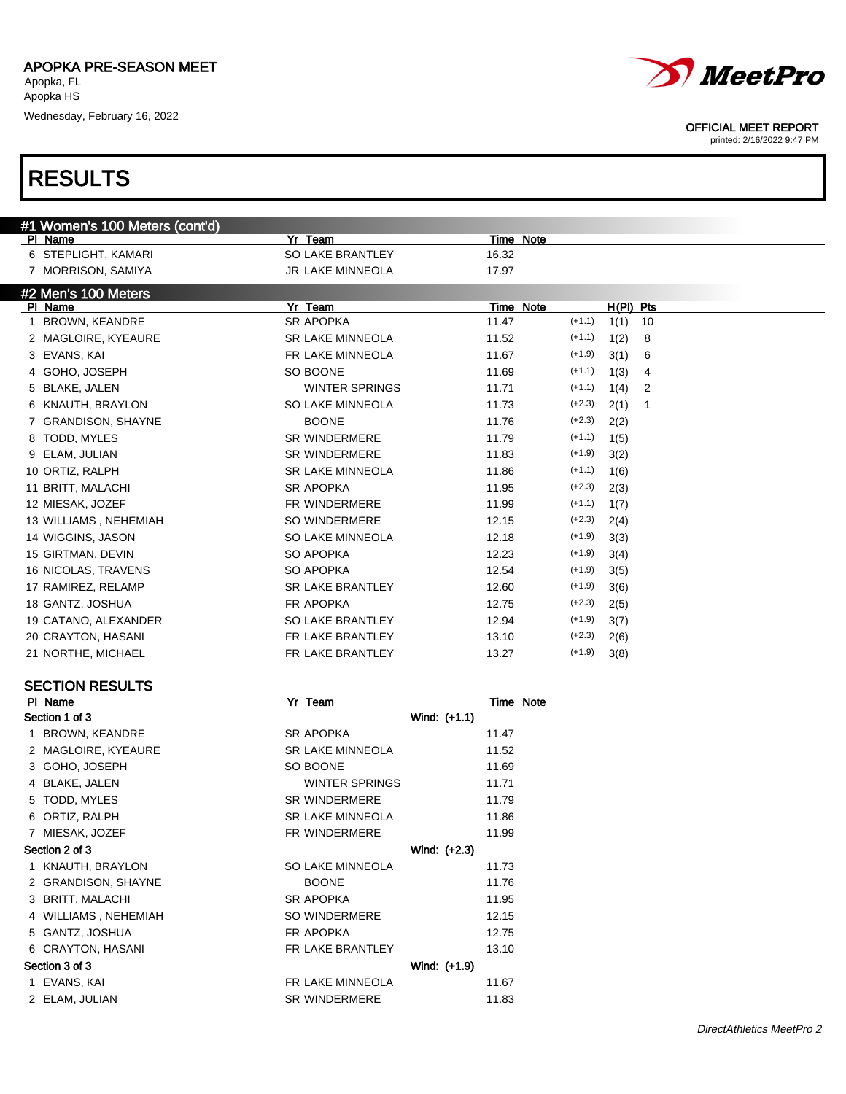



| #1 Women's 100 Meters (cont'd) |                         |                                 |
|--------------------------------|-------------------------|---------------------------------|
| PI Name                        | Yr Team                 | Time Note                       |
| 6 STEPLIGHT, KAMARI            | SO LAKE BRANTLEY        | 16.32                           |
| 7 MORRISON, SAMIYA             | JR LAKE MINNEOLA        | 17.97                           |
| #2 Men's 100 Meters            |                         |                                 |
| PI Name                        | Yr Team                 | Time Note<br>$H(PI)$ Pts        |
| BROWN, KEANDRE<br>$\mathbf{1}$ | SR APOPKA               | $(+1.1)$<br>11.47<br>1(1)<br>10 |
| 2 MAGLOIRE, KYEAURE            | <b>SR LAKE MINNEOLA</b> | $(+1.1)$<br>11.52<br>1(2)<br>8  |
| 3 EVANS, KAI                   | FR LAKE MINNEOLA        | $(+1.9)$<br>11.67<br>3(1)<br>6  |
| 4 GOHO, JOSEPH                 | SO BOONE                | $(+1.1)$<br>11.69<br>1(3)<br>4  |
| 5 BLAKE, JALEN                 | <b>WINTER SPRINGS</b>   | $(+1.1)$<br>11.71<br>1(4)<br>2  |
| KNAUTH, BRAYLON<br>6           | SO LAKE MINNEOLA        | $(+2.3)$<br>11.73<br>2(1)<br>1  |
| 7 GRANDISON, SHAYNE            | <b>BOONE</b>            | $(+2.3)$<br>11.76<br>2(2)       |
| TODD, MYLES<br>8               | <b>SR WINDERMERE</b>    | $(+1.1)$<br>11.79<br>1(5)       |
| ELAM, JULIAN<br>9              | <b>SR WINDERMERE</b>    | $(+1.9)$<br>11.83<br>3(2)       |
| 10 ORTIZ, RALPH                | <b>SR LAKE MINNEOLA</b> | $(+1.1)$<br>11.86<br>1(6)       |
| 11 BRITT, MALACHI              | SR APOPKA               | $(+2.3)$<br>11.95<br>2(3)       |
| 12 MIESAK, JOZEF               | FR WINDERMERE           | $(+1.1)$<br>11.99<br>1(7)       |
| 13 WILLIAMS, NEHEMIAH          | SO WINDERMERE           | $(+2.3)$<br>12.15<br>2(4)       |
| 14 WIGGINS, JASON              | SO LAKE MINNEOLA        | $(+1.9)$<br>12.18<br>3(3)       |
| 15 GIRTMAN, DEVIN              | SO APOPKA               | $(+1.9)$<br>12.23<br>3(4)       |
| 16 NICOLAS, TRAVENS            | SO APOPKA               | $(+1.9)$<br>12.54<br>3(5)       |
| 17 RAMIREZ, RELAMP             | SR LAKE BRANTLEY        | $(+1.9)$<br>12.60<br>3(6)       |
| 18 GANTZ, JOSHUA               | FR APOPKA               | $(+2.3)$<br>12.75               |
|                                | SO LAKE BRANTLEY        | 2(5)<br>$(+1.9)$                |
| 19 CATANO, ALEXANDER           | FR LAKE BRANTLEY        | 12.94<br>3(7)<br>$(+2.3)$       |
| 20 CRAYTON, HASANI             |                         | 13.10<br>2(6)<br>$(+1.9)$       |
| 21 NORTHE, MICHAEL             | FR LAKE BRANTLEY        | 13.27<br>3(8)                   |
| <b>SECTION RESULTS</b>         |                         |                                 |
| PI Name                        | Yr Team                 | <b>Time Note</b>                |
| Section 1 of 3                 | Wind: (+1.1)            |                                 |
| 1 BROWN, KEANDRE               | SR APOPKA               | 11.47                           |
| 2 MAGLOIRE, KYEAURE            | <b>SR LAKE MINNEOLA</b> | 11.52                           |
| 3 GOHO, JOSEPH                 | SO BOONE                | 11.69                           |
| 4 BLAKE, JALEN                 | WINTER SPRINGS          | 11.71                           |
| 5 TODD, MYLES                  | <b>SR WINDERMERE</b>    | 11.79                           |
| 6 ORTIZ, RALPH                 | <b>SR LAKE MINNEOLA</b> | 11.86                           |
| 7 MIESAK, JOZEF                | FR WINDERMERE           | 11.99                           |
| Section 2 of 3                 | Wind: (+2.3)            |                                 |
| 1 KNAUTH, BRAYLON              | SO LAKE MINNEOLA        | 11.73                           |
| 2 GRANDISON, SHAYNE            | <b>BOONE</b>            | 11.76                           |
| 3 BRITT, MALACHI               | SR APOPKA               | 11.95                           |
| 4 WILLIAMS, NEHEMIAH           | SO WINDERMERE           | 12.15                           |
|                                |                         |                                 |
| 5 GANTZ, JOSHUA                | FR APOPKA               | 12.75                           |
| 6 CRAYTON, HASANI              | FR LAKE BRANTLEY        | 13.10                           |
| Section 3 of 3                 | Wind: (+1.9)            |                                 |
| 1 EVANS, KAI                   | FR LAKE MINNEOLA        | 11.67                           |
| 2 ELAM, JULIAN                 | SR WINDERMERE           | 11.83                           |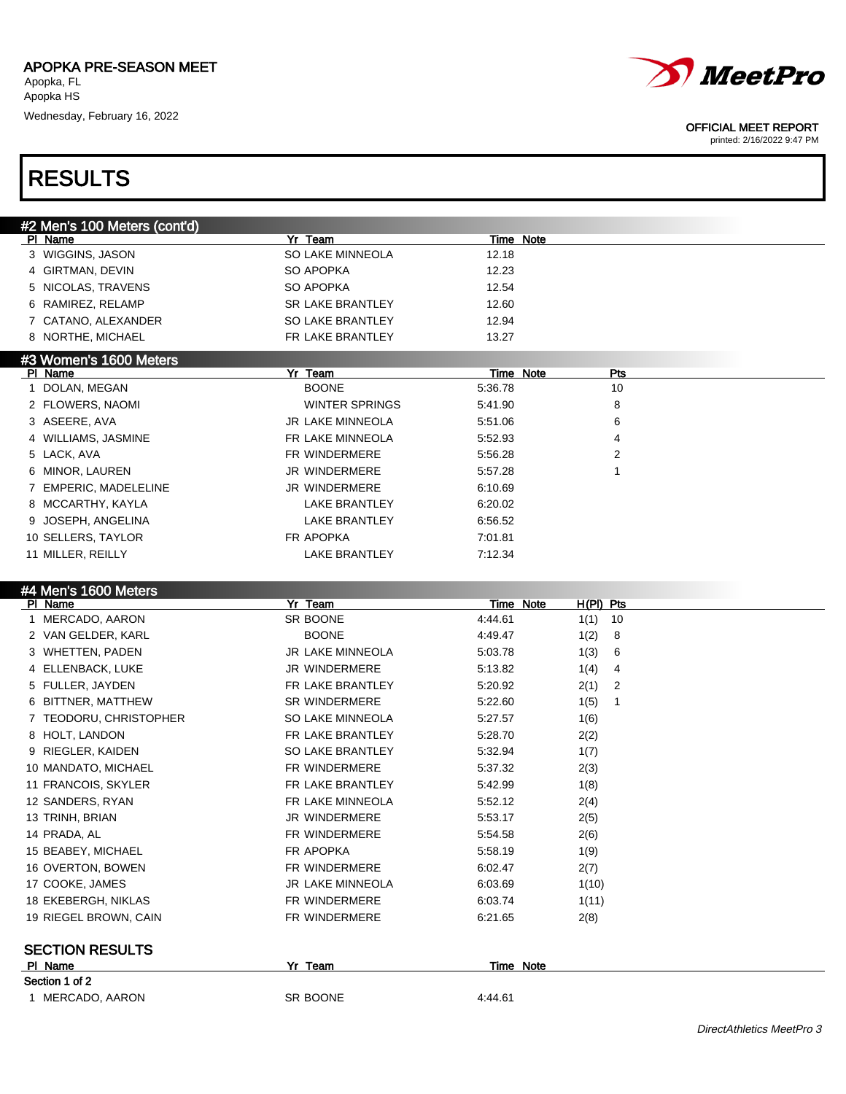

#### OFFICIAL MEET REPORT

printed: 2/16/2022 9:47 PM

### RESULTS

| #2 Men's 100 Meters (cont'd) |                         |           |
|------------------------------|-------------------------|-----------|
| PI Name                      | Yr Team                 | Time Note |
| 3 WIGGINS, JASON             | SO LAKE MINNEOLA        | 12.18     |
| 4 GIRTMAN, DEVIN             | SO APOPKA               | 12.23     |
| 5 NICOLAS, TRAVENS           | SO APOPKA               | 12.54     |
| 6 RAMIREZ, RELAMP            | <b>SR LAKE BRANTLEY</b> | 12.60     |
| 7 CATANO, ALEXANDER          | <b>SO LAKE BRANTLEY</b> | 12.94     |
| 8 NORTHE, MICHAEL            | FR LAKE BRANTLEY        | 13.27     |
| #3 Women's 1600 Meters       |                         |           |

| <b>BOONE</b>            | 5:36.78 | 10             |     |
|-------------------------|---------|----------------|-----|
| <b>WINTER SPRINGS</b>   | 5:41.90 | 8              |     |
| <b>JR LAKE MINNEOLA</b> | 5:51.06 | 6              |     |
| FR LAKE MINNEOLA        | 5:52.93 | 4              |     |
| FR WINDERMERE           | 5:56.28 | $\overline{2}$ |     |
| <b>JR WINDERMERE</b>    | 5:57.28 |                |     |
| <b>JR WINDERMERE</b>    | 6:10.69 |                |     |
| <b>LAKE BRANTLEY</b>    | 6:20.02 |                |     |
| <b>LAKE BRANTLEY</b>    | 6:56.52 |                |     |
| FR APOPKA               | 7:01.81 |                |     |
| <b>LAKE BRANTLEY</b>    | 7:12.34 |                |     |
|                         | Yr Team | Time Note      | Pts |

#4 Men's 1600 Meters

| PI Name                | Yr<br>Team           | Time Note | H(PI) Pts |    |
|------------------------|----------------------|-----------|-----------|----|
| 1 MERCADO, AARON       | SR BOONE             | 4:44.61   | 1(1)      | 10 |
| 2 VAN GELDER, KARL     | <b>BOONE</b>         | 4:49.47   | 1(2)      | 8  |
| 3 WHETTEN, PADEN       | JR LAKE MINNEOLA     | 5:03.78   | 1(3)      | 6  |
| 4 ELLENBACK, LUKE      | <b>JR WINDERMERE</b> | 5:13.82   | 1(4)      | 4  |
| 5 FULLER, JAYDEN       | FR LAKE BRANTLEY     | 5:20.92   | 2(1)      | 2  |
| 6 BITTNER, MATTHEW     | <b>SR WINDERMERE</b> | 5:22.60   | 1(5)      | 1  |
| 7 TEODORU, CHRISTOPHER | SO LAKE MINNEOLA     | 5:27.57   | 1(6)      |    |
| 8 HOLT, LANDON         | FR LAKE BRANTLEY     | 5:28.70   | 2(2)      |    |
| 9 RIEGLER, KAIDEN      | SO LAKE BRANTLEY     | 5:32.94   | 1(7)      |    |
| 10 MANDATO, MICHAEL    | <b>FR WINDERMERE</b> | 5:37.32   | 2(3)      |    |
| 11 FRANCOIS, SKYLER    | FR LAKE BRANTLEY     | 5:42.99   | 1(8)      |    |
| 12 SANDERS, RYAN       | FR LAKE MINNEOLA     | 5:52.12   | 2(4)      |    |
| 13 TRINH, BRIAN        | <b>JR WINDERMERE</b> | 5:53.17   | 2(5)      |    |
| 14 PRADA, AL           | FR WINDERMERE        | 5:54.58   | 2(6)      |    |
| 15 BEABEY, MICHAEL     | FR APOPKA            | 5.58.19   | 1(9)      |    |
| 16 OVERTON, BOWEN      | <b>FR WINDERMERE</b> | 6:02.47   | 2(7)      |    |
| 17 COOKE, JAMES        | JR LAKE MINNEOLA     | 6:03.69   | 1(10)     |    |
| 18 EKEBERGH, NIKLAS    | FR WINDERMERE        | 6:03.74   | 1(11)     |    |
| 19 RIEGEL BROWN, CAIN  | <b>FR WINDERMERE</b> | 6:21.65   | 2(8)      |    |
|                        |                      |           |           |    |
| <b>SECTION RESULTS</b> |                      |           |           |    |
| PI Name                | Yr Team              | Time Note |           |    |
| Section 1 of 2         |                      |           |           |    |
| 1 MERCADO, AARON       | SR BOONE             | 4:44.61   |           |    |
|                        |                      |           |           |    |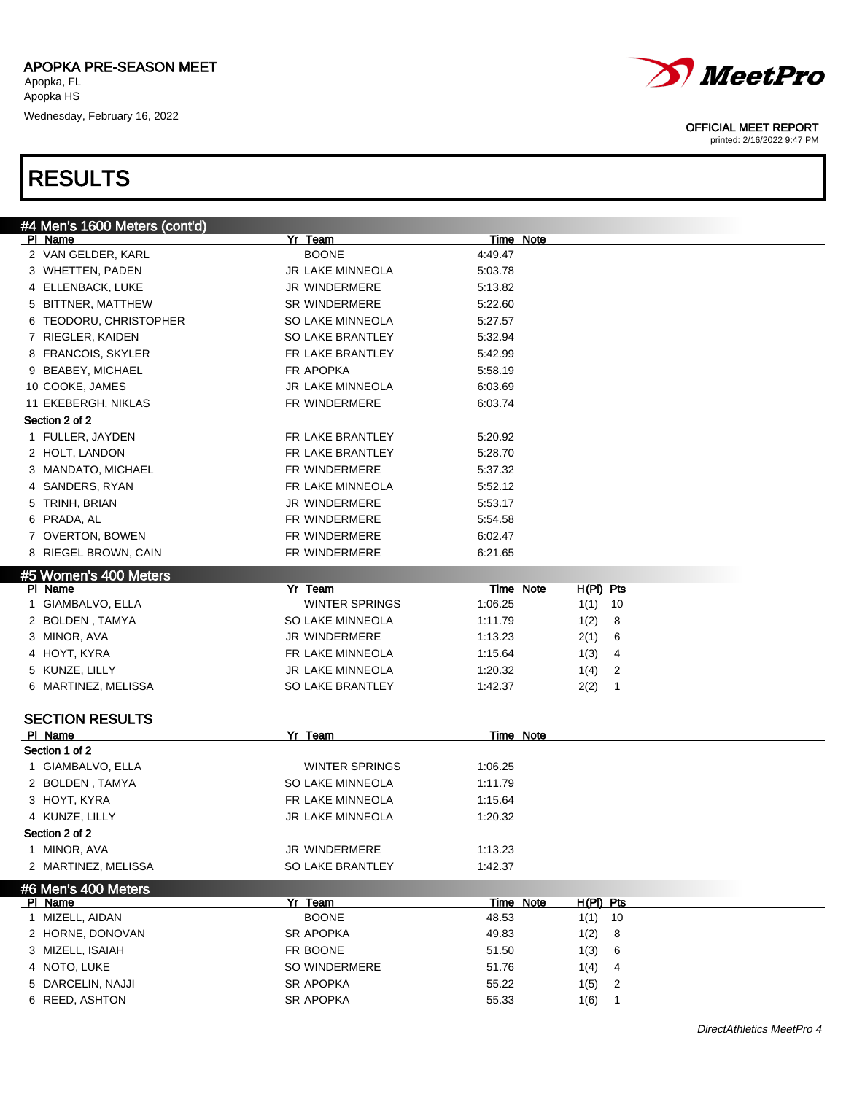

printed: 2/16/2022 9:47 PM

# RESULTS

| #4 Men's 1600 Meters (cont'd) |                         |                                   |  |
|-------------------------------|-------------------------|-----------------------------------|--|
| PI Name                       | Yr Team                 | Time Note                         |  |
| 2 VAN GELDER, KARL            | <b>BOONE</b>            | 4:49.47                           |  |
| 3 WHETTEN, PADEN              | JR LAKE MINNEOLA        | 5:03.78                           |  |
| 4 ELLENBACK, LUKE             | JR WINDERMERE           | 5:13.82                           |  |
| 5 BITTNER, MATTHEW            | <b>SR WINDERMERE</b>    | 5:22.60                           |  |
| 6 TEODORU, CHRISTOPHER        | SO LAKE MINNEOLA        | 5:27.57                           |  |
| 7 RIEGLER, KAIDEN             | SO LAKE BRANTLEY        | 5:32.94                           |  |
| 8 FRANCOIS, SKYLER            | FR LAKE BRANTLEY        | 5:42.99                           |  |
| 9 BEABEY, MICHAEL             | FR APOPKA               | 5:58.19                           |  |
| 10 COOKE, JAMES               | JR LAKE MINNEOLA        | 6:03.69                           |  |
| 11 EKEBERGH, NIKLAS           | FR WINDERMERE           | 6:03.74                           |  |
| Section 2 of 2                |                         |                                   |  |
| 1 FULLER, JAYDEN              | FR LAKE BRANTLEY        | 5:20.92                           |  |
| 2 HOLT, LANDON                | FR LAKE BRANTLEY        | 5:28.70                           |  |
| 3 MANDATO, MICHAEL            | FR WINDERMERE           | 5:37.32                           |  |
| 4 SANDERS, RYAN               | FR LAKE MINNEOLA        | 5:52.12                           |  |
| 5 TRINH, BRIAN                | <b>JR WINDERMERE</b>    | 5:53.17                           |  |
| 6 PRADA, AL                   | FR WINDERMERE           | 5:54.58                           |  |
| 7 OVERTON, BOWEN              | FR WINDERMERE           | 6:02.47                           |  |
| 8 RIEGEL BROWN, CAIN          | FR WINDERMERE           | 6:21.65                           |  |
| #5 Women's 400 Meters         |                         |                                   |  |
| PI Name                       | Yr Team                 | Time Note<br>$H(PI)$ Pts          |  |
| 1 GIAMBALVO, ELLA             | <b>WINTER SPRINGS</b>   | 1:06.25<br>10<br>1(1)             |  |
| 2 BOLDEN, TAMYA               | SO LAKE MINNEOLA        | 1:11.79<br>1(2)<br>8              |  |
| 3 MINOR, AVA                  | JR WINDERMERE           | 1:13.23<br>2(1)<br>6              |  |
| 4 HOYT, KYRA                  | FR LAKE MINNEOLA        | 1:15.64<br>1(3)<br>4              |  |
| 5 KUNZE, LILLY                | JR LAKE MINNEOLA        | $\overline{2}$<br>1:20.32<br>1(4) |  |
| 6 MARTINEZ, MELISSA           | SO LAKE BRANTLEY        | 1:42.37<br>2(2)<br>1              |  |
|                               |                         |                                   |  |
| <b>SECTION RESULTS</b>        |                         |                                   |  |
| PI Name                       | Yr Team                 | Time Note                         |  |
| Section 1 of 2                |                         |                                   |  |
| 1 GIAMBALVO, ELLA             | <b>WINTER SPRINGS</b>   | 1:06.25                           |  |
| 2 BOLDEN, TAMYA               | <b>SO LAKE MINNEOLA</b> | 1:11.79                           |  |
| 3 HOYT, KYRA                  | FR LAKE MINNEOLA        | 1:15.64                           |  |
| 4 KUNZE, LILLY                | <b>JR LAKE MINNEOLA</b> | 1:20.32                           |  |
| Section 2 of 2                |                         |                                   |  |
| 1 MINOR, AVA                  | JR WINDERMERE           | 1:13.23                           |  |
| 2 MARTINEZ, MELISSA           | SO LAKE BRANTLEY        | 1:42.37                           |  |
| <b>6 Men's 400 Meters</b>     |                         |                                   |  |
| PI Name                       | Yr Team                 | Time Note<br>$H(PI)$ Pts          |  |
| 1 MIZELL, AIDAN               | <b>BOONE</b>            | 10<br>48.53<br>1(1)               |  |
| 2 HORNE, DONOVAN              | SR APOPKA               | 49.83<br>1(2)<br>8                |  |
| 3 MIZELL, ISAIAH              | FR BOONE                | 51.50<br>1(3)<br>6                |  |
| 4 NOTO, LUKE                  | SO WINDERMERE           | 51.76<br>1(4)<br>4                |  |
| 5 DARCELIN, NAJJI             | SR APOPKA               | 55.22<br>1(5)<br>2                |  |
| 6 REED, ASHTON                | SR APOPKA               | 55.33<br>1(6)<br>1                |  |
|                               |                         |                                   |  |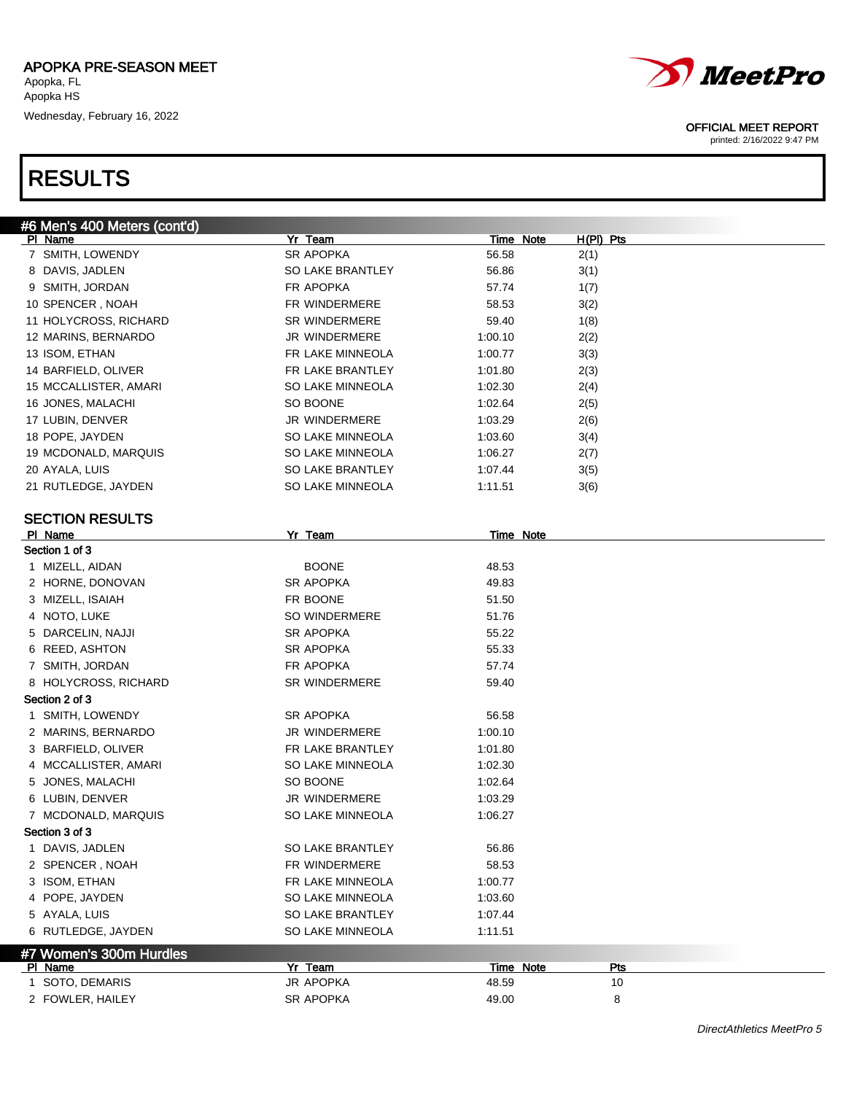



#### OFFICIAL MEET REPORT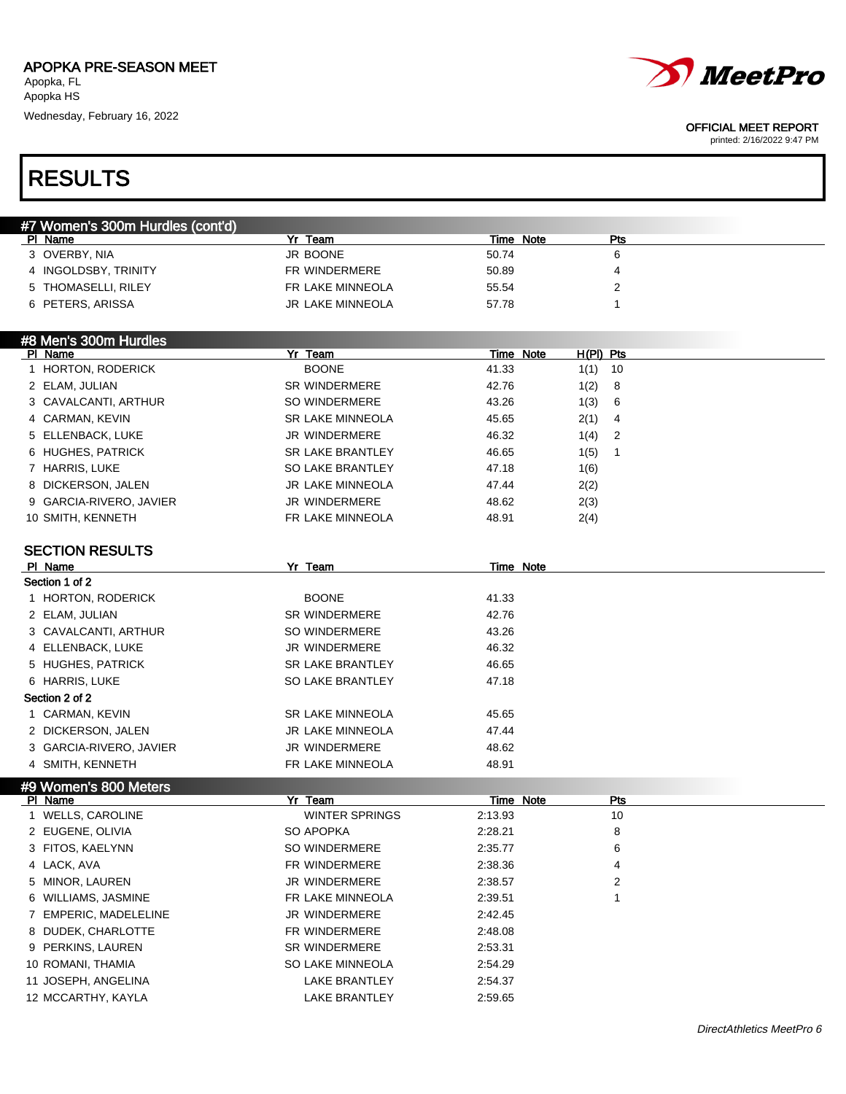

#### OFFICIAL MEET REPORT

printed: 2/16/2022 9:47 PM

# RESULTS

| #7 Women's 300m Hurdles (cont'd) |                         |           |            |
|----------------------------------|-------------------------|-----------|------------|
| PI Name                          | Team                    | Time Note | <b>Pts</b> |
| 3 OVERBY, NIA                    | JR BOONE                | 50.74     |            |
| 4 INGOLDSBY, TRINITY             | FR WINDERMERE           | 50.89     |            |
| 5 THOMASELLI, RILEY              | FR LAKE MINNEOLA        | 55.54     |            |
| 6 PETERS, ARISSA                 | <b>JR LAKE MINNEOLA</b> | 57.78     |            |

#### #8 Men's 300m Hurdles<br>| PL Name Pr Team Time Note H(PI) Pts 1 HORTON, RODERICK BOONE 41.33 1(1) 10 2 ELAM, JULIAN SR WINDERMERE 42.76 1(2) 8 3 CAVALCANTI, ARTHUR SO WINDERMERE 43.26 1(3) 6 4 CARMAN, KEVIN SR LAKE MINNEOLA 45.65 2(1) 4 5 ELLENBACK, LUKE JR WINDERMERE 46.32 1(4) 2 6 HUGHES, PATRICK **SR LAKE BRANTLEY** 46.65 1(5) 1 7 HARRIS, LUKE SO LAKE BRANTLEY 47.18 1(6) 8 DICKERSON, JALEN JR LAKE MINNEOLA 47.44 2(2) 9 GARCIA-RIVERO, JAVIER JR WINDERMERE 48.62 2(3) 10 SMITH, KENNETH FR LAKE MINNEOLA 48.91 2(4)

#### SECTION RESULTS

| PI Name                 | Yr Team                 | Time Note |
|-------------------------|-------------------------|-----------|
| Section 1 of 2          |                         |           |
| 1 HORTON, RODERICK      | <b>BOONE</b>            | 41.33     |
| 2 ELAM, JULIAN          | <b>SR WINDERMERE</b>    | 42.76     |
| 3 CAVALCANTI, ARTHUR    | SO WINDERMERE           | 43.26     |
| 4 ELLENBACK, LUKE       | <b>JR WINDERMERE</b>    | 46.32     |
| 5 HUGHES, PATRICK       | <b>SR LAKE BRANTLEY</b> | 46.65     |
| 6 HARRIS, LUKE          | <b>SO LAKE BRANTLEY</b> | 47.18     |
| Section 2 of 2          |                         |           |
| 1 CARMAN, KEVIN         | <b>SR LAKE MINNEOLA</b> | 45.65     |
| 2 DICKERSON, JALEN      | <b>JR LAKE MINNEOLA</b> | 47.44     |
| 3 GARCIA-RIVERO, JAVIER | <b>JR WINDERMERE</b>    | 48.62     |
| 4 SMITH, KENNETH        | FR LAKE MINNEOLA        | 48.91     |

### #9 Women's 800 Meters

| PI Name               | Yr Team               |         | Time Note<br>Pts |  |
|-----------------------|-----------------------|---------|------------------|--|
| 1 WELLS, CAROLINE     | <b>WINTER SPRINGS</b> | 2:13.93 | 10               |  |
| 2 EUGENE, OLIVIA      | SO APOPKA             | 2:28.21 | 8                |  |
| 3 FITOS, KAELYNN      | SO WINDERMERE         | 2:35.77 | 6                |  |
| 4 LACK, AVA           | FR WINDERMERE         | 2:38.36 | 4                |  |
| 5 MINOR, LAUREN       | <b>JR WINDERMERE</b>  | 2:38.57 | 2                |  |
| 6 WILLIAMS, JASMINE   | FR LAKE MINNEOLA      | 2:39.51 |                  |  |
| 7 EMPERIC, MADELELINE | <b>JR WINDERMERE</b>  | 2:42.45 |                  |  |
| 8 DUDEK, CHARLOTTE    | FR WINDERMERE         | 2:48.08 |                  |  |
| 9 PERKINS, LAUREN     | <b>SR WINDERMERE</b>  | 2:53.31 |                  |  |
| 10 ROMANI, THAMIA     | SO LAKE MINNEOLA      | 2:54.29 |                  |  |
| 11 JOSEPH, ANGELINA   | <b>LAKE BRANTLEY</b>  | 2:54.37 |                  |  |
| 12 MCCARTHY, KAYLA    | <b>LAKE BRANTLEY</b>  | 2:59.65 |                  |  |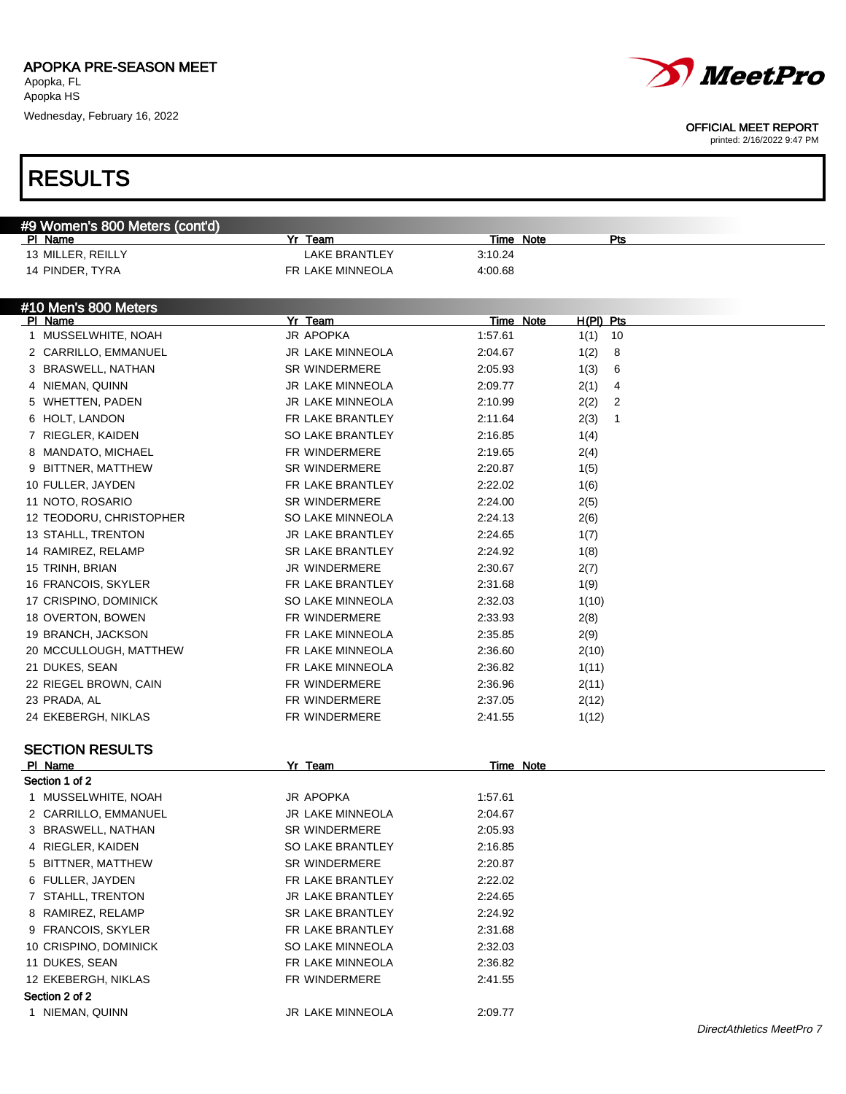

#### OFFICIAL MEET REPORT

printed: 2/16/2022 9:47 PM

# RESULTS

| #9 Women's 800 Meters (cont'd) |                         |           |           |              |
|--------------------------------|-------------------------|-----------|-----------|--------------|
| PI Name                        | Yr Team                 | Time Note |           | Pts          |
| 13 MILLER, REILLY              | <b>LAKE BRANTLEY</b>    | 3:10.24   |           |              |
| 14 PINDER, TYRA                | FR LAKE MINNEOLA        | 4:00.68   |           |              |
|                                |                         |           |           |              |
| #10 Men's 800 Meters           |                         |           |           |              |
| PI Name                        | Yr Team                 | Time Note | H(PI) Pts |              |
| 1 MUSSELWHITE, NOAH            | JR APOPKA               | 1:57.61   | 1(1)      | 10           |
| 2 CARRILLO, EMMANUEL           | JR LAKE MINNEOLA        | 2:04.67   | 1(2)      | 8            |
| 3 BRASWELL, NATHAN             | SR WINDERMERE           | 2:05.93   | 1(3)      | 6            |
| 4 NIEMAN, QUINN                | JR LAKE MINNEOLA        | 2:09.77   | 2(1)      | 4            |
| 5 WHETTEN, PADEN               | JR LAKE MINNEOLA        | 2:10.99   | 2(2)      | 2            |
| 6 HOLT, LANDON                 | FR LAKE BRANTLEY        | 2:11.64   | 2(3)      | $\mathbf{1}$ |
| 7 RIEGLER, KAIDEN              | SO LAKE BRANTLEY        | 2:16.85   | 1(4)      |              |
| 8 MANDATO, MICHAEL             | FR WINDERMERE           | 2:19.65   | 2(4)      |              |
| 9 BITTNER, MATTHEW             | SR WINDERMERE           | 2:20.87   | 1(5)      |              |
| 10 FULLER, JAYDEN              | FR LAKE BRANTLEY        | 2:22.02   | 1(6)      |              |
| 11 NOTO, ROSARIO               | <b>SR WINDERMERE</b>    | 2:24.00   | 2(5)      |              |
| 12 TEODORU, CHRISTOPHER        | SO LAKE MINNEOLA        | 2:24.13   | 2(6)      |              |
| 13 STAHLL, TRENTON             | JR LAKE BRANTLEY        | 2:24.65   | 1(7)      |              |
| 14 RAMIREZ, RELAMP             | <b>SR LAKE BRANTLEY</b> | 2:24.92   | 1(8)      |              |
| 15 TRINH, BRIAN                | JR WINDERMERE           | 2:30.67   | 2(7)      |              |
| 16 FRANCOIS, SKYLER            | FR LAKE BRANTLEY        | 2:31.68   | 1(9)      |              |
| 17 CRISPINO, DOMINICK          | SO LAKE MINNEOLA        | 2:32.03   | 1(10)     |              |
| 18 OVERTON, BOWEN              | FR WINDERMERE           | 2:33.93   | 2(8)      |              |
| 19 BRANCH, JACKSON             | FR LAKE MINNEOLA        | 2:35.85   | 2(9)      |              |
| 20 MCCULLOUGH, MATTHEW         | FR LAKE MINNEOLA        | 2:36.60   | 2(10)     |              |
| 21 DUKES, SEAN                 | FR LAKE MINNEOLA        | 2:36.82   | 1(11)     |              |
| 22 RIEGEL BROWN, CAIN          | FR WINDERMERE           | 2:36.96   | 2(11)     |              |
| 23 PRADA, AL                   | FR WINDERMERE           | 2:37.05   | 2(12)     |              |
| 24 EKEBERGH, NIKLAS            | FR WINDERMERE           | 2:41.55   | 1(12)     |              |
|                                |                         |           |           |              |
| <b>SECTION RESULTS</b>         |                         |           |           |              |
| PI Name                        | Yr Team                 | Time Note |           |              |
| Section 1 of 2                 |                         |           |           |              |
| 1 MUSSELWHITE, NOAH            | JR APOPKA               | 1:57.61   |           |              |
| 2 CARRILLO, EMMANUEL           | JR LAKE MINNEOLA        | 2:04.67   |           |              |
| 3 BRASWELL, NATHAN             | <b>SR WINDERMERE</b>    | 2:05.93   |           |              |
| 4 RIEGLER, KAIDEN              | SO LAKE BRANTLEY        | 2:16.85   |           |              |
| 5 BITTNER, MATTHEW             | SR WINDERMERE           | 2:20.87   |           |              |
| 6 FULLER, JAYDEN               | FR LAKE BRANTLEY        | 2:22.02   |           |              |
| 7 STAHLL, TRENTON              | JR LAKE BRANTLEY        | 2:24.65   |           |              |
| 8 RAMIREZ, RELAMP              | SR LAKE BRANTLEY        | 2:24.92   |           |              |
| 9 FRANCOIS, SKYLER             | FR LAKE BRANTLEY        | 2:31.68   |           |              |
| 10 CRISPINO, DOMINICK          | SO LAKE MINNEOLA        | 2:32.03   |           |              |
| 11 DUKES, SEAN                 | FR LAKE MINNEOLA        | 2:36.82   |           |              |
| 12 EKEBERGH, NIKLAS            | FR WINDERMERE           | 2:41.55   |           |              |
| Section 2 of 2                 |                         |           |           |              |
| 1 NIEMAN, QUINN                | JR LAKE MINNEOLA        | 2:09.77   |           |              |
|                                |                         |           |           |              |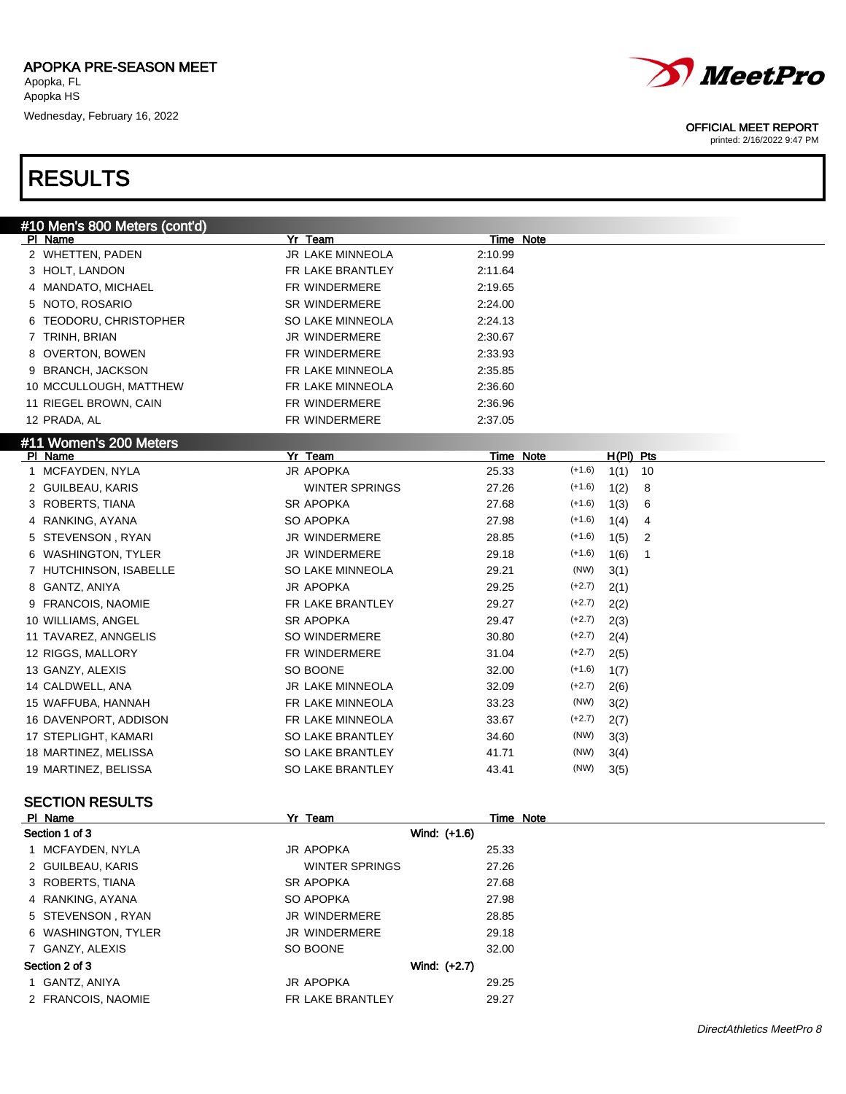

printed: 2/16/2022 9:47 PM

### RESULTS

| #10 Men's 800 Meters (cont'd) |                       |              |                  |          |           |                |  |
|-------------------------------|-----------------------|--------------|------------------|----------|-----------|----------------|--|
| PI Name                       | Yr Team               |              | <b>Time Note</b> |          |           |                |  |
| 2 WHETTEN, PADEN              | JR LAKE MINNEOLA      | 2:10.99      |                  |          |           |                |  |
| 3 HOLT, LANDON                | FR LAKE BRANTLEY      | 2:11.64      |                  |          |           |                |  |
| 4 MANDATO, MICHAEL            | FR WINDERMERE         | 2:19.65      |                  |          |           |                |  |
| 5 NOTO, ROSARIO               | <b>SR WINDERMERE</b>  | 2:24.00      |                  |          |           |                |  |
| 6 TEODORU, CHRISTOPHER        | SO LAKE MINNEOLA      | 2:24.13      |                  |          |           |                |  |
| 7 TRINH, BRIAN                | JR WINDERMERE         | 2:30.67      |                  |          |           |                |  |
| 8 OVERTON, BOWEN              | FR WINDERMERE         | 2:33.93      |                  |          |           |                |  |
| 9 BRANCH, JACKSON             | FR LAKE MINNEOLA      | 2:35.85      |                  |          |           |                |  |
| 10 MCCULLOUGH, MATTHEW        | FR LAKE MINNEOLA      | 2:36.60      |                  |          |           |                |  |
| 11 RIEGEL BROWN, CAIN         | FR WINDERMERE         | 2:36.96      |                  |          |           |                |  |
| 12 PRADA, AL                  | FR WINDERMERE         | 2:37.05      |                  |          |           |                |  |
| #11 Women's 200 Meters        |                       |              |                  |          |           |                |  |
| PI Name                       | Yr Team               |              | Time Note        |          | H(PI) Pts |                |  |
| 1 MCFAYDEN, NYLA              | JR APOPKA             | 25.33        |                  | $(+1.6)$ | 1(1)      | 10             |  |
| 2 GUILBEAU, KARIS             | <b>WINTER SPRINGS</b> | 27.26        |                  | $(+1.6)$ | 1(2)      | 8              |  |
| 3 ROBERTS, TIANA              | <b>SR APOPKA</b>      | 27.68        |                  | $(+1.6)$ | 1(3)      | 6              |  |
| 4 RANKING, AYANA              | SO APOPKA             | 27.98        |                  | $(+1.6)$ | 1(4)      | 4              |  |
| 5 STEVENSON, RYAN             | JR WINDERMERE         | 28.85        |                  | $(+1.6)$ | 1(5)      | $\overline{2}$ |  |
| 6 WASHINGTON, TYLER           | JR WINDERMERE         | 29.18        |                  | $(+1.6)$ | 1(6)      | $\mathbf{1}$   |  |
| 7 HUTCHINSON, ISABELLE        | SO LAKE MINNEOLA      | 29.21        |                  | (NW)     | 3(1)      |                |  |
| 8 GANTZ, ANIYA                | JR APOPKA             | 29.25        |                  | $(+2.7)$ | 2(1)      |                |  |
| 9 FRANCOIS, NAOMIE            | FR LAKE BRANTLEY      | 29.27        |                  | $(+2.7)$ | 2(2)      |                |  |
| 10 WILLIAMS, ANGEL            | <b>SR APOPKA</b>      | 29.47        |                  | $(+2.7)$ | 2(3)      |                |  |
| 11 TAVAREZ, ANNGELIS          | SO WINDERMERE         | 30.80        |                  | $(+2.7)$ | 2(4)      |                |  |
| 12 RIGGS, MALLORY             | FR WINDERMERE         | 31.04        |                  | $(+2.7)$ | 2(5)      |                |  |
| 13 GANZY, ALEXIS              | SO BOONE              | 32.00        |                  | $(+1.6)$ | 1(7)      |                |  |
| 14 CALDWELL, ANA              | JR LAKE MINNEOLA      | 32.09        |                  | $(+2.7)$ | 2(6)      |                |  |
| 15 WAFFUBA, HANNAH            | FR LAKE MINNEOLA      | 33.23        |                  | (NW)     | 3(2)      |                |  |
| 16 DAVENPORT, ADDISON         | FR LAKE MINNEOLA      | 33.67        |                  | $(+2.7)$ | 2(7)      |                |  |
| 17 STEPLIGHT, KAMARI          | SO LAKE BRANTLEY      | 34.60        |                  | (NW)     | 3(3)      |                |  |
| 18 MARTINEZ, MELISSA          | SO LAKE BRANTLEY      | 41.71        |                  | (NW)     | 3(4)      |                |  |
| 19 MARTINEZ, BELISSA          | SO LAKE BRANTLEY      | 43.41        |                  | (NW)     | 3(5)      |                |  |
|                               |                       |              |                  |          |           |                |  |
| <b>SECTION RESULTS</b>        |                       |              |                  |          |           |                |  |
| PI Name                       | Yr Team               |              | Time Note        |          |           |                |  |
| Section 1 of 3                |                       | Wind: (+1.6) |                  |          |           |                |  |
| 1 MCFAYDEN, NYLA              | JR APOPKA             | 25.33        |                  |          |           |                |  |
| 2 GUILBEAU, KARIS             | WINTER SPRINGS        | 27.26        |                  |          |           |                |  |
| 3 ROBERTS, TIANA              | <b>SR APOPKA</b>      | 27.68        |                  |          |           |                |  |
| 4 RANKING, AYANA              | SO APOPKA             | 27.98        |                  |          |           |                |  |
| 5 STEVENSON, RYAN             | <b>JR WINDERMERE</b>  | 28.85        |                  |          |           |                |  |
| 6 WASHINGTON, TYLER           | JR WINDERMERE         | 29.18        |                  |          |           |                |  |

JR APOPKA 29.25

7 GANZY, ALEXIS SO BOONE 32.00

#### Section 2 of 3 Wind: (+2.7)

| 1 GANTZ, ANIYA |  |
|----------------|--|
|----------------|--|

2 FRANCOIS, NAOMIE THE RESERT FRIEND FRIENDER FRANTLEY 29.27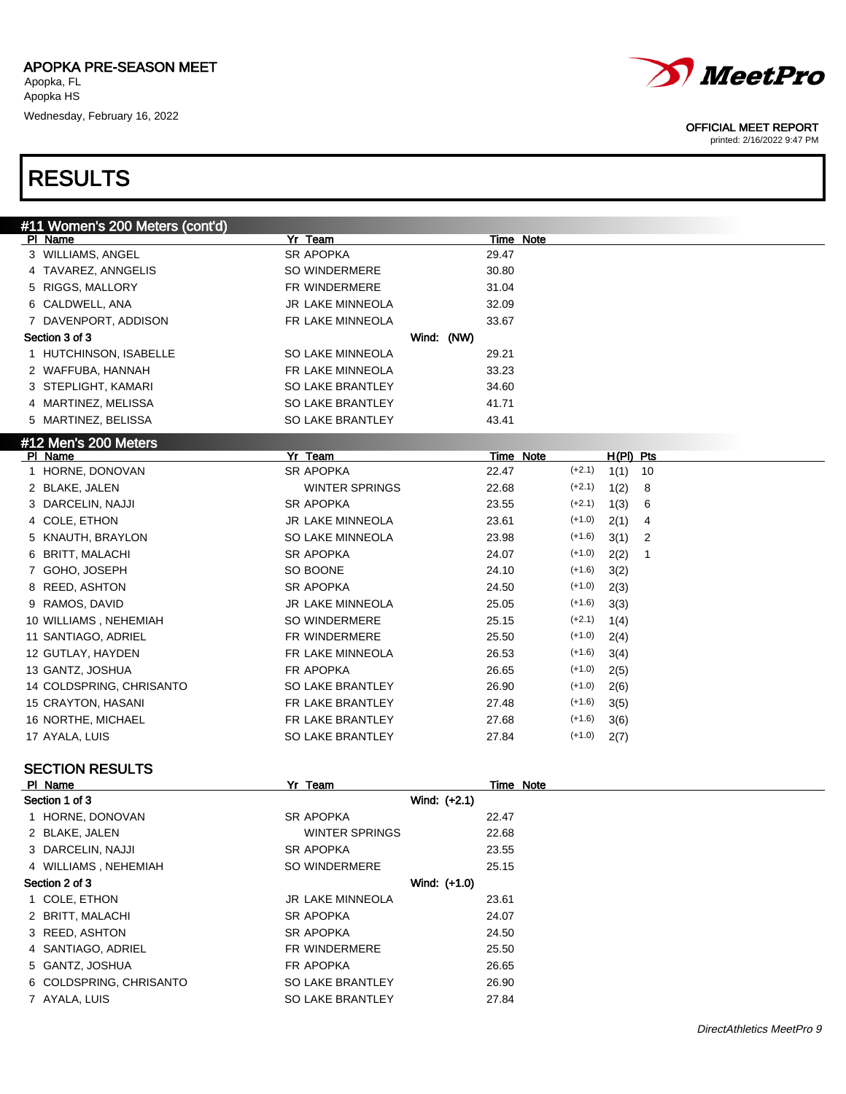

#### OFFICIAL MEET REPORT

printed: 2/16/2022 9:47 PM

# RESULTS

| #11 Women's 200 Meters (cont'd) |                         |                                 |  |
|---------------------------------|-------------------------|---------------------------------|--|
| PI Name                         | Yr Team                 | Time Note                       |  |
| 3 WILLIAMS, ANGEL               | <b>SR APOPKA</b>        | 29.47                           |  |
| 4 TAVAREZ, ANNGELIS             | SO WINDERMERE           | 30.80                           |  |
| 5 RIGGS, MALLORY                | FR WINDERMERE           | 31.04                           |  |
| 6 CALDWELL, ANA                 | <b>JR LAKE MINNEOLA</b> | 32.09                           |  |
| 7 DAVENPORT, ADDISON            | FR LAKE MINNEOLA        | 33.67                           |  |
| Section 3 of 3                  | Wind: (NW)              |                                 |  |
| 1 HUTCHINSON, ISABELLE          | SO LAKE MINNEOLA        | 29.21                           |  |
| 2 WAFFUBA, HANNAH               | FR LAKE MINNEOLA        | 33.23                           |  |
| 3 STEPLIGHT, KAMARI             | SO LAKE BRANTLEY        | 34.60                           |  |
| 4 MARTINEZ, MELISSA             | SO LAKE BRANTLEY        | 41.71                           |  |
| 5 MARTINEZ, BELISSA             | SO LAKE BRANTLEY        | 43.41                           |  |
| #12 Men's 200 Meters            |                         |                                 |  |
| PI Name                         | Yr Team                 | Time Note<br>$H(PI)$ Pts        |  |
| 1 HORNE, DONOVAN                | <b>SR APOPKA</b>        | $(+2.1)$<br>22.47<br>1(1)<br>10 |  |
| 2 BLAKE, JALEN                  | <b>WINTER SPRINGS</b>   | $(+2.1)$<br>22.68<br>1(2)<br>8  |  |
| 3 DARCELIN, NAJJI               | <b>SR APOPKA</b>        | $(+2.1)$<br>23.55<br>1(3)<br>6  |  |
| 4 COLE, ETHON                   | <b>JR LAKE MINNEOLA</b> | $(+1.0)$<br>23.61<br>2(1)<br>4  |  |
| 5 KNAUTH, BRAYLON               | <b>SO LAKE MINNEOLA</b> | 23.98<br>$(+1.6)$<br>3(1)<br>2  |  |
| BRITT, MALACHI<br>6             | <b>SR APOPKA</b>        | $(+1.0)$<br>24.07<br>2(2)<br>1  |  |
| 7 GOHO, JOSEPH                  | SO BOONE                | $(+1.6)$<br>24.10<br>3(2)       |  |
| 8 REED, ASHTON                  | <b>SR APOPKA</b>        | $(+1.0)$<br>24.50<br>2(3)       |  |
| 9 RAMOS, DAVID                  | <b>JR LAKE MINNEOLA</b> | $(+1.6)$<br>25.05<br>3(3)       |  |
| 10 WILLIAMS, NEHEMIAH           | SO WINDERMERE           | $(+2.1)$<br>25.15<br>1(4)       |  |
| 11 SANTIAGO, ADRIEL             | FR WINDERMERE           | $(+1.0)$<br>25.50<br>2(4)       |  |
| 12 GUTLAY, HAYDEN               | FR LAKE MINNEOLA        | $(+1.6)$<br>26.53<br>3(4)       |  |
| 13 GANTZ, JOSHUA                | FR APOPKA               | $(+1.0)$<br>26.65<br>2(5)       |  |
| 14 COLDSPRING, CHRISANTO        | SO LAKE BRANTLEY        | $(+1.0)$<br>26.90<br>2(6)       |  |
| 15 CRAYTON, HASANI              | FR LAKE BRANTLEY        | $(+1.6)$<br>27.48<br>3(5)       |  |
| 16 NORTHE, MICHAEL              | FR LAKE BRANTLEY        | $(+1.6)$<br>27.68<br>3(6)       |  |
| 17 AYALA, LUIS                  | SO LAKE BRANTLEY        | $(+1.0)$<br>27.84<br>2(7)       |  |
| <b>SECTION RESULTS</b>          |                         |                                 |  |
| PI Name                         | Yr Team                 | Time Note                       |  |
| $0$ aallan 1 af 9               | Mind. 1.24              |                                 |  |

| .                       |                         | .            |  |
|-------------------------|-------------------------|--------------|--|
| Section 1 of 3          |                         | Wind: (+2.1) |  |
| 1 HORNE, DONOVAN        | SR APOPKA               | 22.47        |  |
| 2 BLAKE, JALEN          | <b>WINTER SPRINGS</b>   | 22.68        |  |
| 3 DARCELIN, NAJJI       | <b>SR APOPKA</b>        | 23.55        |  |
| 4 WILLIAMS, NEHEMIAH    | SO WINDERMERE           | 25.15        |  |
| Section 2 of 3          |                         | Wind: (+1.0) |  |
| 1 COLE, ETHON           | <b>JR LAKE MINNEOLA</b> | 23.61        |  |
| 2 BRITT, MALACHI        | <b>SR APOPKA</b>        | 24.07        |  |
| 3 REED, ASHTON          | SR APOPKA               | 24.50        |  |
| 4 SANTIAGO, ADRIEL      | FR WINDERMERE           | 25.50        |  |
| 5 GANTZ, JOSHUA         | FR APOPKA               | 26.65        |  |
| 6 COLDSPRING, CHRISANTO | <b>SO LAKE BRANTLEY</b> | 26.90        |  |
| 7 AYALA, LUIS           | SO LAKE BRANTLEY        | 27.84        |  |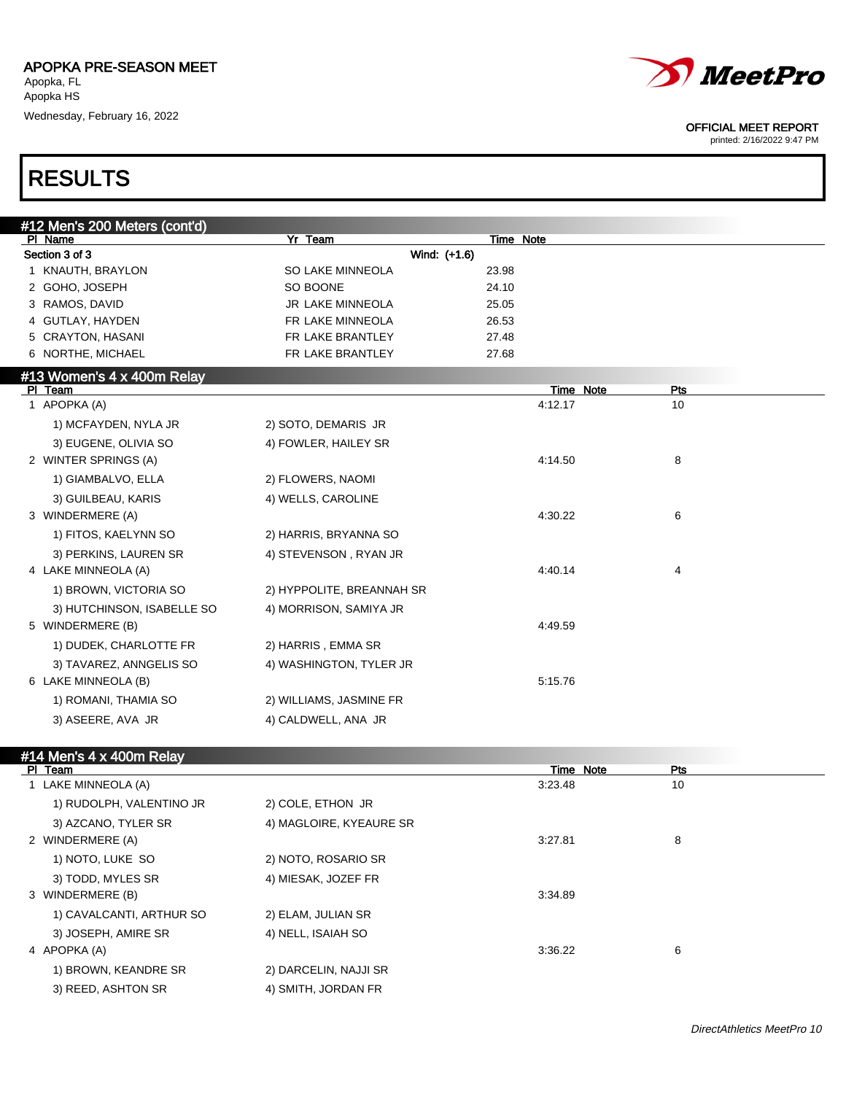



printed: 2/16/2022 9:47 PM

### RESULTS

| #12 Men's 200 Meters (cont'd) |                           |                      |           |
|-------------------------------|---------------------------|----------------------|-----------|
| PI Name                       | Yr Team                   | Time Note            |           |
| Section 3 of 3                | Wind: (+1.6)              |                      |           |
| 1 KNAUTH, BRAYLON             | <b>SO LAKE MINNEOLA</b>   | 23.98                |           |
| 2 GOHO, JOSEPH                | SO BOONE                  | 24.10                |           |
| 3 RAMOS, DAVID                | <b>JR LAKE MINNEOLA</b>   | 25.05                |           |
| 4 GUTLAY, HAYDEN              | FR LAKE MINNEOLA          | 26.53                |           |
| 5 CRAYTON, HASANI             | FR LAKE BRANTLEY          | 27.48                |           |
| 6 NORTHE, MICHAEL             | FR LAKE BRANTLEY          | 27.68                |           |
| #13 Women's 4 x 400m Relay    |                           |                      |           |
| PI Team<br>1 APOPKA (A)       |                           | Time Note<br>4:12.17 | Pts<br>10 |
| 1) MCFAYDEN, NYLA JR          | 2) SOTO, DEMARIS JR       |                      |           |
| 3) EUGENE, OLIVIA SO          |                           |                      |           |
| 2 WINTER SPRINGS (A)          | 4) FOWLER, HAILEY SR      | 4:14.50              | 8         |
|                               |                           |                      |           |
| 1) GIAMBALVO, ELLA            | 2) FLOWERS, NAOMI         |                      |           |
| 3) GUILBEAU, KARIS            | 4) WELLS, CAROLINE        |                      |           |
| 3 WINDERMERE (A)              |                           | 4:30.22              | 6         |
| 1) FITOS, KAELYNN SO          | 2) HARRIS, BRYANNA SO     |                      |           |
| 3) PERKINS, LAUREN SR         | 4) STEVENSON, RYAN JR     |                      |           |
| 4 LAKE MINNEOLA (A)           |                           | 4:40.14              | 4         |
| 1) BROWN, VICTORIA SO         | 2) HYPPOLITE, BREANNAH SR |                      |           |
| 3) HUTCHINSON, ISABELLE SO    | 4) MORRISON, SAMIYA JR    |                      |           |
| 5 WINDERMERE (B)              |                           | 4:49.59              |           |
| 1) DUDEK, CHARLOTTE FR        | 2) HARRIS, EMMA SR        |                      |           |
| 3) TAVAREZ, ANNGELIS SO       | 4) WASHINGTON, TYLER JR   |                      |           |
| 6 LAKE MINNEOLA (B)           |                           | 5:15.76              |           |
| 1) ROMANI, THAMIA SO          | 2) WILLIAMS, JASMINE FR   |                      |           |
| 3) ASEERE, AVA JR             | 4) CALDWELL, ANA JR       |                      |           |
|                               |                           |                      |           |

### #14 Men's 4 x 400m Relay

| PI Team                  |                         | Time Note | Pts |  |
|--------------------------|-------------------------|-----------|-----|--|
| 1 LAKE MINNEOLA (A)      |                         | 3:23.48   | 10  |  |
| 1) RUDOLPH, VALENTINO JR | 2) COLE, ETHON JR       |           |     |  |
| 3) AZCANO, TYLER SR      | 4) MAGLOIRE, KYEAURE SR |           |     |  |
| 2 WINDERMERE (A)         |                         | 3:27.81   | 8   |  |
| 1) NOTO, LUKE SO         | 2) NOTO, ROSARIO SR     |           |     |  |
| 3) TODD, MYLES SR        | 4) MIESAK, JOZEF FR     |           |     |  |
| 3 WINDERMERE (B)         |                         | 3:34.89   |     |  |
| 1) CAVALCANTI, ARTHUR SO | 2) ELAM, JULIAN SR      |           |     |  |
| 3) JOSEPH, AMIRE SR      | 4) NELL, ISAIAH SO      |           |     |  |
| 4 APOPKA (A)             |                         | 3:36.22   | 6   |  |
| 1) BROWN, KEANDRE SR     | 2) DARCELIN, NAJJI SR   |           |     |  |
| 3) REED, ASHTON SR       | 4) SMITH, JORDAN FR     |           |     |  |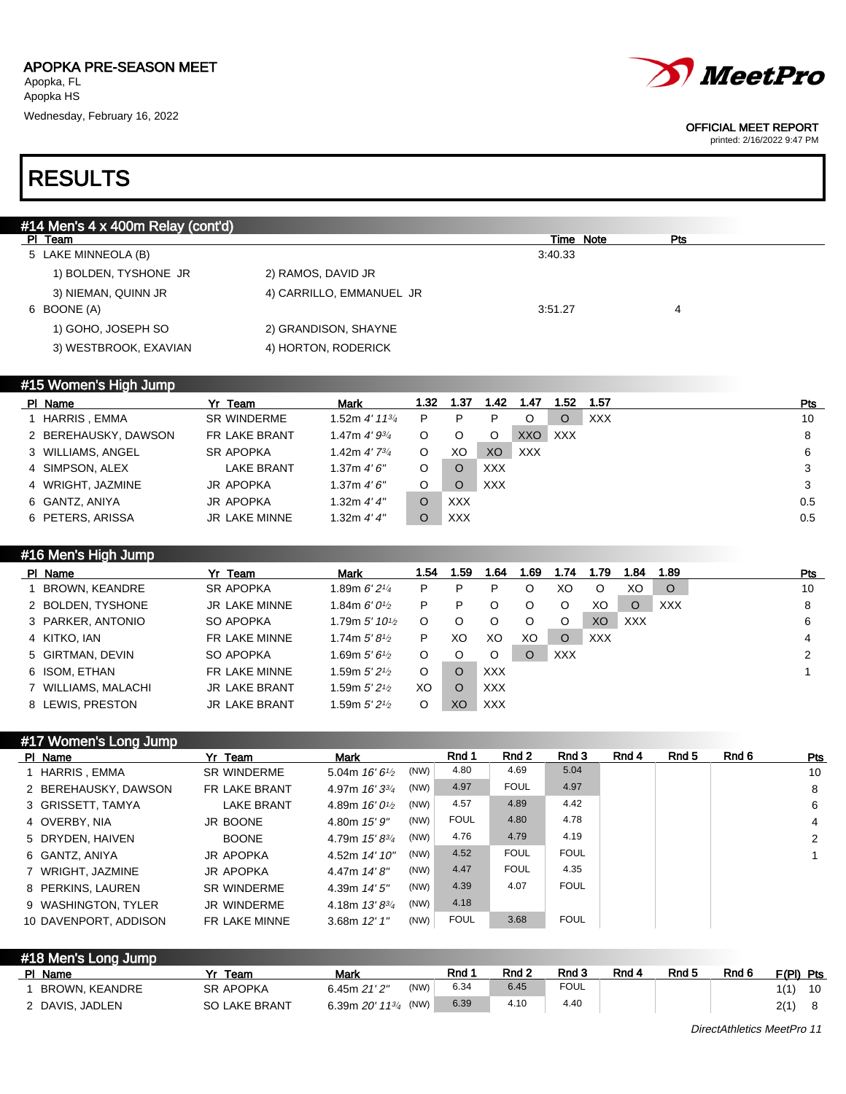

#### OFFICIAL MEET REPORT

printed: 2/16/2022 9:47 PM

### RESULTS

| #14 Men's 4 x 400m Relay (cont'd)               |  |
|-------------------------------------------------|--|
| Time Note<br>PI Team<br>Pts                     |  |
| 3:40.33<br>5 LAKE MINNEOLA (B)                  |  |
| 1) BOLDEN, TYSHONE JR<br>2) RAMOS, DAVID JR     |  |
| 4) CARRILLO, EMMANUEL JR<br>3) NIEMAN, QUINN JR |  |
| 6 BOONE (A)<br>3:51.27<br>$\overline{4}$        |  |
| 1) GOHO, JOSEPH SO<br>2) GRANDISON, SHAYNE      |  |
| 3) WESTBROOK, EXAVIAN<br>4) HORTON, RODERICK    |  |

### #15 Women's High Jump

| PI Name              | Yr Team            | <b>Mark</b>                | 1.32 | 1.37       | 1.42       | 1.47       | l.52 | 1.57       | Pts |
|----------------------|--------------------|----------------------------|------|------------|------------|------------|------|------------|-----|
| HARRIS, EMMA         | <b>SR WINDERME</b> | 1.52m 4' 11 <sup>3/4</sup> | P    |            | P          |            | O    | <b>XXX</b> | 10  |
| 2 BEREHAUSKY, DAWSON | FR LAKE BRANT      | 1.47m $4'9^{3/4}$          | O    |            | O          | XXO        | XXX  |            | 8   |
| 3 WILLIAMS, ANGEL    | <b>SR APOPKA</b>   | 1.42m $4'$ 7 $\frac{3}{4}$ | O    | XO         | XO         | <b>XXX</b> |      |            | 6   |
| 4 SIMPSON, ALEX      | <b>LAKE BRANT</b>  | 1.37m 4'6''                | O    |            | <b>XXX</b> |            |      |            | 3   |
| 4 WRIGHT, JAZMINE    | <b>JR APOPKA</b>   | 1.37m 4'6''                | O    |            | <b>XXX</b> |            |      |            | 3   |
| 6 GANTZ, ANIYA       | JR APOPKA          | 1.32m $4'4''$              |      | <b>XXX</b> |            |            |      |            | 0.5 |
| 6 PETERS, ARISSA     | JR LAKE MINNE      | 1.32m $4'4''$              |      | <b>XXX</b> |            |            |      |            | 0.5 |

### #16 Men's High Jump

| PI Name             | Yr Team              | <b>Mark</b>                               | 1.54 | l .59    | 1.64       | 1.69     | 1.74       | 1.79           | 1.84       | 1.89       | <b>Pts</b> |
|---------------------|----------------------|-------------------------------------------|------|----------|------------|----------|------------|----------------|------------|------------|------------|
| BROWN, KEANDRE      | <b>SR APOPKA</b>     | 1.89m $6'$ 21/4                           | P    | P        | P          |          | XO         | O              | XO         | $\circ$    | 10         |
| 2 BOLDEN, TYSHONE   | JR LAKE MINNE        | 1.84m <i>6' 01</i> ⁄2                     | P    |          | O          |          | O          | XO             | $\circ$    | <b>XXX</b> | 8          |
| 3 PARKER, ANTONIO   | SO APOPKA            | 1.79m $5'$ 10 <sup>1</sup> / <sub>2</sub> | O    |          | O          |          | O          | X <sub>O</sub> | <b>XXX</b> |            | 6          |
| 4 KITKO, IAN        | FR LAKE MINNE        | 1.74m $5'8\frac{1}{2}$                    | P    | XO       | XO         | XO       | O          | <b>XXX</b>     |            |            | 4          |
| 5 GIRTMAN, DEVIN    | SO APOPKA            | 1.69m 5′ 61⁄2                             | O    |          | O          | $\Omega$ | <b>XXX</b> |                |            |            | າ          |
| 6 ISOM, ETHAN       | FR LAKE MINNE        | 1.59m $5^{\prime}$ 21⁄2 .                 | O    | $\Omega$ | <b>XXX</b> |          |            |                |            |            |            |
| 7 WILLIAMS, MALACHI | <b>JR LAKE BRANT</b> | 1.59m $5'$ 21⁄2                           | XO.  | O        | <b>XXX</b> |          |            |                |            |            |            |
| 8 LEWIS, PRESTON    | <b>JR LAKE BRANT</b> | 1.59m $5'$ 21⁄2                           | O    | XC       | <b>XXX</b> |          |            |                |            |            |            |

### #17 Women's Long Jump

| PI Name               | Yr Team              | <b>Mark</b>             |      | Rnd 1       | Rnd 2       | Rnd 3       | Rnd 4 | Rnd 5 | Rnd 6 | Pts            |
|-----------------------|----------------------|-------------------------|------|-------------|-------------|-------------|-------|-------|-------|----------------|
| 1 HARRIS, EMMA        | <b>SR WINDERME</b>   | 5.04m $16'6'$           | (NW) | 4.80        | 4.69        | 5.04        |       |       |       | 10             |
| 2 BEREHAUSKY, DAWSON  | <b>FR LAKE BRANT</b> | 4.97m $16'3^{3}/4$      | (NW) | 4.97        | <b>FOUL</b> | 4.97        |       |       |       | 8              |
| 3 GRISSETT, TAMYA     | <b>LAKE BRANT</b>    | 4.89m $16'0\frac{1}{2}$ | (NW) | 4.57        | 4.89        | 4.42        |       |       |       | 6              |
| 4 OVERBY, NIA         | JR BOONE             | 4.80m 15' 9"            | (NW) | <b>FOUL</b> | 4.80        | 4.78        |       |       |       | $\overline{4}$ |
| 5 DRYDEN, HAIVEN      | <b>BOONE</b>         | 4.79m $15'8^{3/4}$      | (NW) | 4.76        | 4.79        | 4.19        |       |       |       | 2              |
| 6 GANTZ, ANIYA        | JR APOPKA            | 4.52m 14' 10"           | (NW) | 4.52        | <b>FOUL</b> | <b>FOUL</b> |       |       |       |                |
| 7 WRIGHT, JAZMINE     | JR APOPKA            | $4.47m$ $14'8''$        | (NW) | 4.47        | <b>FOUL</b> | 4.35        |       |       |       |                |
| 8 PERKINS, LAUREN     | <b>SR WINDERME</b>   | 4.39m $14'5''$          | (NW) | 4.39        | 4.07        | <b>FOUL</b> |       |       |       |                |
| 9 WASHINGTON, TYLER   | JR WINDERME          | 4.18m $13'8^{3}/4$      | (NW) | 4.18        |             |             |       |       |       |                |
| 10 DAVENPORT, ADDISON | FR LAKE MINNE        | 3.68m $12'1''$          | (NW) | <b>FOUL</b> | 3.68        | <b>FOUL</b> |       |       |       |                |

| #18 Men's Long Jump |                      |                                           |      |       |       |             |       |       |       |           |    |
|---------------------|----------------------|-------------------------------------------|------|-------|-------|-------------|-------|-------|-------|-----------|----|
| PI Name             | Team                 | Mark                                      |      | Rnd 1 | Rnd 2 | Rnd 3       | Rnd 4 | Rnd 5 | Rnd 6 | F(PI) Pts |    |
| BROWN, KEANDRE      | <b>SR APOPKA</b>     | 6.45m $21'2''$                            | (NW) | 6.34  | 6.45  | <b>FOUL</b> |       |       |       | 1(1)      | 10 |
| 2 DAVIS, JADLEN     | <b>SO LAKE BRANT</b> | 6.39m $20'$ 11 <sup>3/4</sup> (NW) $\Box$ |      | 6.39  | 4.10  | 4.40        |       |       |       | 2(1)      | 8  |

DirectAthletics MeetPro 11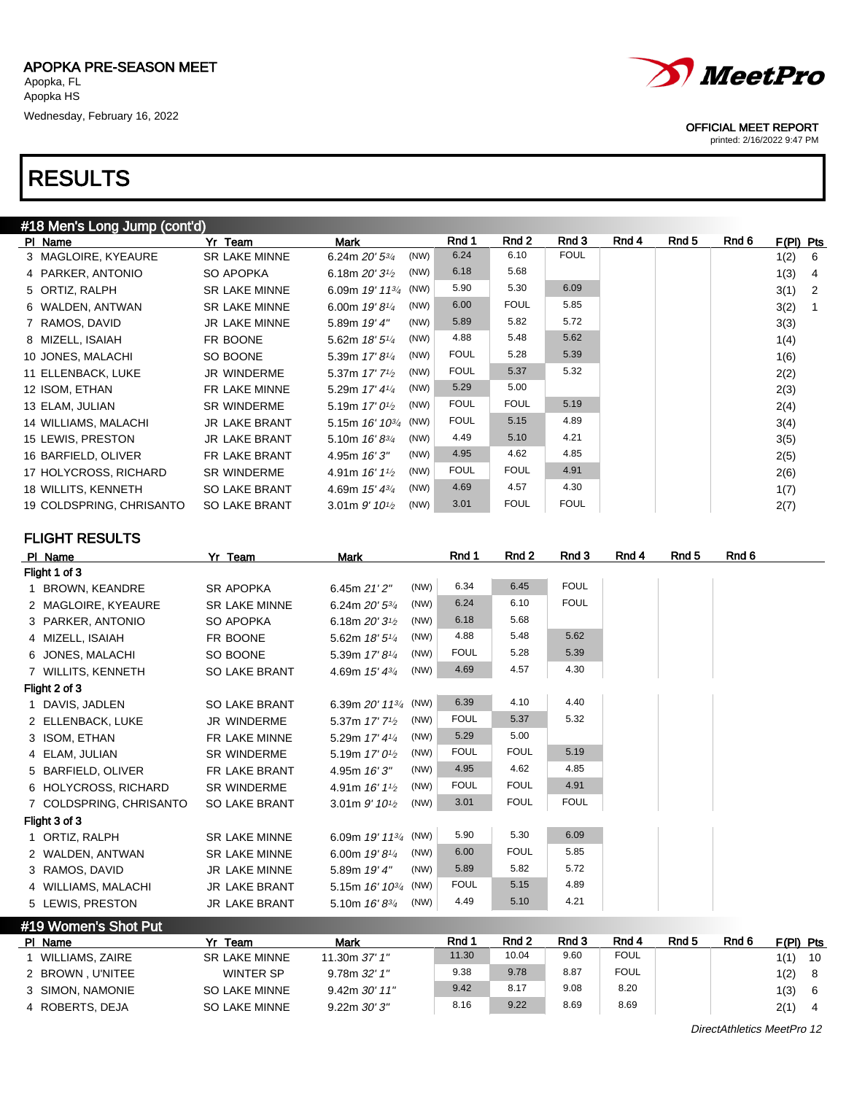| #18 Men's Long Jump (cont'd) |                      |                                                   |             |             |             |       |       |       |           |                |
|------------------------------|----------------------|---------------------------------------------------|-------------|-------------|-------------|-------|-------|-------|-----------|----------------|
| PI Name                      | Yr Team              | Mark                                              | Rnd 1       | Rnd 2       | Rnd 3       | Rnd 4 | Rnd 5 | Rnd 6 | F(PI) Pts |                |
| 3 MAGLOIRE, KYEAURE          | <b>SR LAKE MINNE</b> | (NW)<br>6.24m $20'$ 5 $\frac{3}{4}$               | 6.24        | 6.10        | <b>FOUL</b> |       |       |       | 1(2)      | - 6            |
| 4 PARKER, ANTONIO            | SO APOPKA            | (NW)<br>6.18m $20'3^{1/2}$                        | 6.18        | 5.68        |             |       |       |       | 1(3)      | 4              |
| 5 ORTIZ, RALPH               | <b>SR LAKE MINNE</b> | 6.09m $19'$ $11^{3/4}$ (NW)                       | 5.90        | 5.30        | 6.09        |       |       |       | 3(1)      | $\overline{2}$ |
| 6 WALDEN, ANTWAN             | <b>SR LAKE MINNE</b> | (NW)<br>6.00m $19'8\frac{1}{4}$                   | 6.00        | <b>FOUL</b> | 5.85        |       |       |       | 3(2)      | $\overline{1}$ |
| 7 RAMOS, DAVID               | <b>JR LAKE MINNE</b> | (NW)<br>5.89m 19' 4"                              | 5.89        | 5.82        | 5.72        |       |       |       | 3(3)      |                |
| 8 MIZELL, ISAIAH             | FR BOONE             | (NW)<br>5.62m 18' 5 <sup>1/4</sup>                | 4.88        | 5.48        | 5.62        |       |       |       | 1(4)      |                |
| 10 JONES, MALACHI            | SO BOONE             | (NW)<br>5.39m 17' 8 <sup>1/4</sup>                | <b>FOUL</b> | 5.28        | 5.39        |       |       |       | 1(6)      |                |
| 11 ELLENBACK, LUKE           | <b>JR WINDERME</b>   | (NW)<br>5.37m 17' 7 <sup>1</sup> / <sub>2</sub>   | <b>FOUL</b> | 5.37        | 5.32        |       |       |       | 2(2)      |                |
| 12 ISOM, ETHAN               | FR LAKE MINNE        | (NW)<br>5.29m 17' 41/4                            | 5.29        | 5.00        |             |       |       |       | 2(3)      |                |
| 13 ELAM, JULIAN              | SR WINDERME          | (NW)<br>5.19m $17'0\frac{1}{2}$                   | <b>FOUL</b> | <b>FOUL</b> | 5.19        |       |       |       | 2(4)      |                |
| 14 WILLIAMS, MALACHI         | <b>JR LAKE BRANT</b> | 5.15m $16'$ $10^{3/4}$ (NW)                       | <b>FOUL</b> | 5.15        | 4.89        |       |       |       | 3(4)      |                |
| 15 LEWIS, PRESTON            | <b>JR LAKE BRANT</b> | (NW)<br>5.10m $16' 8^{3/4}$                       | 4.49        | 5.10        | 4.21        |       |       |       | 3(5)      |                |
| 16 BARFIELD, OLIVER          | FR LAKE BRANT        | (NW)<br>4.95m $16'3''$                            | 4.95        | 4.62        | 4.85        |       |       |       | 2(5)      |                |
| 17 HOLYCROSS, RICHARD        | <b>SR WINDERME</b>   | (NW)<br>4.91m $16'1\frac{1}{2}$                   | <b>FOUL</b> | <b>FOUL</b> | 4.91        |       |       |       | 2(6)      |                |
| 18 WILLITS, KENNETH          | <b>SO LAKE BRANT</b> | (NW)<br>4.69m 15' 43/4                            | 4.69        | 4.57        | 4.30        |       |       |       | 1(7)      |                |
| 19 COLDSPRING, CHRISANTO     | <b>SO LAKE BRANT</b> | (NW)<br>3.01m $9'$ 10 <sup>1</sup> / <sub>2</sub> | 3.01        | <b>FOUL</b> | <b>FOUL</b> |       |       |       | 2(7)      |                |

FLIGHT RESULTS

| PI Name                 | Yr Team              | Mark                                              | Rnd 1       | Rnd 2       | Rnd 3       | Rnd 4 | Rnd 5 | Rnd 6 |
|-------------------------|----------------------|---------------------------------------------------|-------------|-------------|-------------|-------|-------|-------|
| Flight 1 of 3           |                      |                                                   |             |             |             |       |       |       |
| 1 BROWN, KEANDRE        | <b>SR APOPKA</b>     | (NW)<br>6.45m 21' 2"                              | 6.34        | 6.45        | <b>FOUL</b> |       |       |       |
| 2 MAGLOIRE, KYEAURE     | <b>SR LAKE MINNE</b> | (NW)<br>6.24m $20'$ 5 $\frac{3}{4}$               | 6.24        | 6.10        | <b>FOUL</b> |       |       |       |
| 3 PARKER, ANTONIO       | SO APOPKA            | (NW)<br>6.18m $20'3^{1/2}$                        | 6.18        | 5.68        |             |       |       |       |
| 4 MIZELL, ISAIAH        | FR BOONE             | (NW)<br>5.62m 18' 51/4                            | 4.88        | 5.48        | 5.62        |       |       |       |
| 6 JONES, MALACHI        | SO BOONE             | (NW)<br>5.39m 17' 81/4                            | <b>FOUL</b> | 5.28        | 5.39        |       |       |       |
| 7 WILLITS, KENNETH      | SO LAKE BRANT        | (NW)<br>4.69m $15'$ 4 $\frac{3}{4}$               | 4.69        | 4.57        | 4.30        |       |       |       |
| Flight 2 of 3           |                      |                                                   |             |             |             |       |       |       |
| 1 DAVIS, JADLEN         | <b>SO LAKE BRANT</b> | 6.39m 20' 1134 (NW)                               | 6.39        | 4.10        | 4.40        |       |       |       |
| 2 ELLENBACK, LUKE       | <b>JR WINDERME</b>   | (NW)<br>5.37m 17' 7 <sup>1</sup> / <sub>2</sub>   | <b>FOUL</b> | 5.37        | 5.32        |       |       |       |
| 3 ISOM, ETHAN           | FR LAKE MINNE        | (NW)<br>5.29m 17' 41/4                            | 5.29        | 5.00        |             |       |       |       |
| 4 ELAM, JULIAN          | <b>SR WINDERME</b>   | (NW)<br>5.19m $17'0\frac{1}{2}$                   | <b>FOUL</b> | <b>FOUL</b> | 5.19        |       |       |       |
| 5 BARFIELD, OLIVER      | FR LAKE BRANT        | (NW)<br>4.95m 16'3"                               | 4.95        | 4.62        | 4.85        |       |       |       |
| 6 HOLYCROSS, RICHARD    | <b>SR WINDERME</b>   | (NW)<br>4.91m 16' 1 <sup>1</sup> / <sub>2</sub>   | <b>FOUL</b> | <b>FOUL</b> | 4.91        |       |       |       |
| 7 COLDSPRING, CHRISANTO | <b>SO LAKE BRANT</b> | (NW)<br>3.01m $9'$ 10 <sup>1</sup> / <sub>2</sub> | 3.01        | <b>FOUL</b> | <b>FOUL</b> |       |       |       |
| Flight 3 of 3           |                      |                                                   |             |             |             |       |       |       |
| 1 ORTIZ, RALPH          | <b>SR LAKE MINNE</b> | 6.09m $19'$ $11^{3/4}$ (NW)                       | 5.90        | 5.30        | 6.09        |       |       |       |
| 2 WALDEN, ANTWAN        | <b>SR LAKE MINNE</b> | (NW)<br>6.00m 19' 81/4                            | 6.00        | <b>FOUL</b> | 5.85        |       |       |       |
| 3 RAMOS, DAVID          | <b>JR LAKE MINNE</b> | (NW)<br>5.89m 19' 4"                              | 5.89        | 5.82        | 5.72        |       |       |       |
| 4 WILLIAMS, MALACHI     | <b>JR LAKE BRANT</b> | 5.15m $16' 10^{3/4}$ (NW)                         | <b>FOUL</b> | 5.15        | 4.89        |       |       |       |
| 5 LEWIS, PRESTON        | <b>JR LAKE BRANT</b> | (NW)<br>5.10m $16' 8^{3/4}$                       | 4.49        | 5.10        | 4.21        |       |       |       |
| #19 Women's Shot Put    |                      |                                                   |             |             |             |       |       |       |

| $1.19$ . The motive of the contract of $\sim$ |                      |                     |       |       |       |             |       |       |             |    |
|-----------------------------------------------|----------------------|---------------------|-------|-------|-------|-------------|-------|-------|-------------|----|
| PI Name                                       | Team                 | Mark                | Rnd 1 | Rnd 2 | Rnd 3 | Rnd 4       | Rnd 5 | Rnd 6 | $F(PI)$ Pts |    |
| WILLIAMS, ZAIRE                               | <b>SR LAKE MINNE</b> | 11.30m 37' 1"       | 11.30 | 10.04 | 9.60  | <b>FOUL</b> |       |       |             | 10 |
| 2 BROWN, U'NITEE                              | WINTER SP            | $9.78m$ $32'1''$    | 9.38  | 9.78  | 8.87  | <b>FOUL</b> |       |       | 1(2)        |    |
| 3 SIMON, NAMONIE                              | <b>SO LAKE MINNE</b> | $9.42m$ $30'$ $11"$ | 9.42  | 8.17  | 9.08  | 8.20        |       |       | 1(3)        |    |
| 4 ROBERTS, DEJA                               | SO LAKE MINNE        | $9.22m$ $30'$ $3"$  | 8.16  | 9.22  | 8.69  | 8.69        |       |       | 2(1)        | 4  |

OFFICIAL MEET REPORT

printed: 2/16/2022 9:47 PM

DirectAthletics MeetPro 12

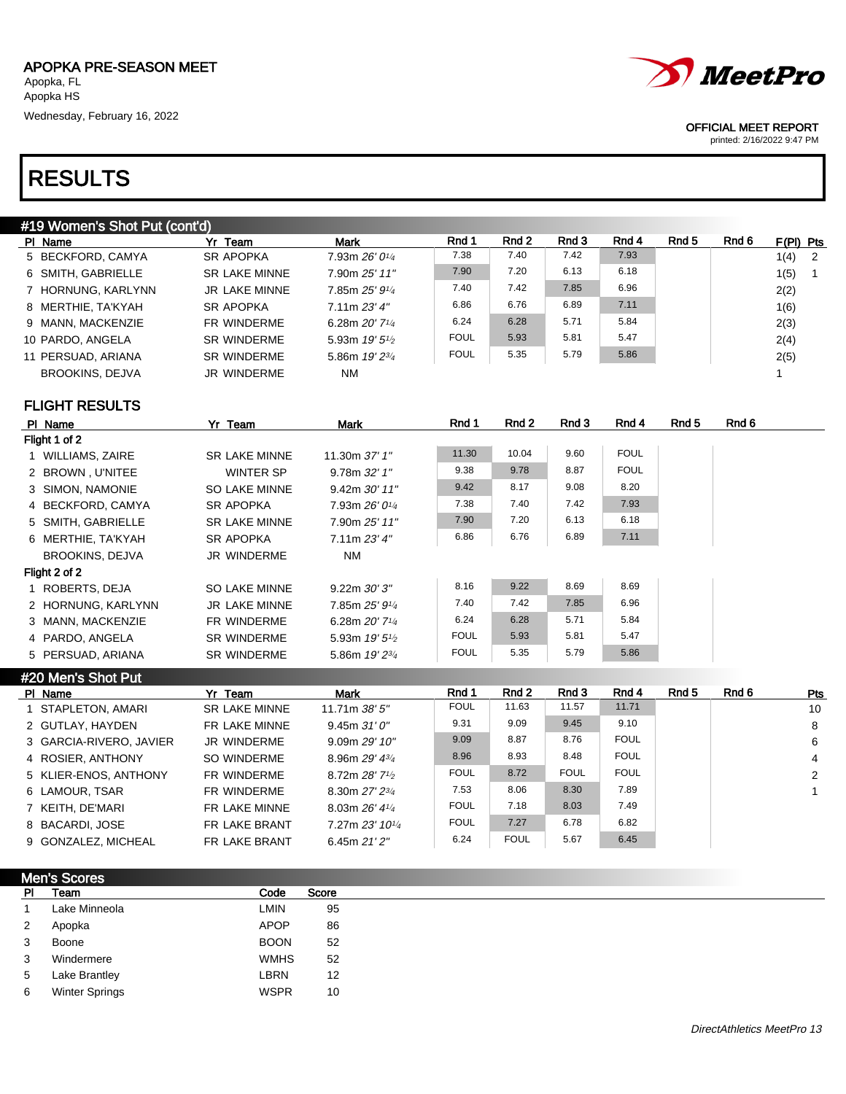| #19 Women's Shot Put (cont'd) |                      |                              |             |       |       |       |       |       |             |                            |
|-------------------------------|----------------------|------------------------------|-------------|-------|-------|-------|-------|-------|-------------|----------------------------|
| PI Name                       | Yr Team              | <b>Mark</b>                  | Rnd 1       | Rnd 2 | Rnd 3 | Rnd 4 | Rnd 5 | Rnd 6 | $F(PI)$ Pts |                            |
| 5 BECKFORD, CAMYA             | <b>SR APOPKA</b>     | 7.93m 26' 01/4               | 7.38        | 7.40  | 7.42  | 7.93  |       |       | 1(4)        | $\overline{\phantom{0}}^2$ |
| 6 SMITH, GABRIELLE            | <b>SR LAKE MINNE</b> | 7.90m 25' 11"                | 7.90        | 7.20  | 6.13  | 6.18  |       |       | 1(5)        | $\blacksquare$             |
| 7 HORNUNG, KARLYNN            | JR LAKE MINNE        | 7.85m 25' 91/4               | 7.40        | 7.42  | 7.85  | 6.96  |       |       | 2(2)        |                            |
| 8 MERTHIE, TA'KYAH            | <b>SR APOPKA</b>     | 7.11m 23'4''                 | 6.86        | 6.76  | 6.89  | 7.11  |       |       | 1(6)        |                            |
| 9 MANN, MACKENZIE             | FR WINDERME          | 6.28m $20'$ 7 <sup>1/4</sup> | 6.24        | 6.28  | 5.71  | 5.84  |       |       | 2(3)        |                            |
| 10 PARDO, ANGELA              | <b>SR WINDERME</b>   | 5.93m $19'5\frac{1}{2}$      | <b>FOUL</b> | 5.93  | 5.81  | 5.47  |       |       | 2(4)        |                            |
| 11 PERSUAD, ARIANA            | <b>SR WINDERME</b>   | 5.86m $19'2^{3/4}$           | <b>FOUL</b> | 5.35  | 5.79  | 5.86  |       |       | 2(5)        |                            |
| <b>BROOKINS, DEJVA</b>        | JR WINDERME          | NM                           |             |       |       |       |       |       |             |                            |
|                               |                      |                              |             |       |       |       |       |       |             |                            |

FLIGHT RESULTS

| PI Name                | Yr Team              | Mark                         | Rnd 1       | Rnd 2 | Rnd 3 | Rnd 4       | Rnd 5 | Rnd 6 |
|------------------------|----------------------|------------------------------|-------------|-------|-------|-------------|-------|-------|
| Flight 1 of 2          |                      |                              |             |       |       |             |       |       |
| 1 WILLIAMS, ZAIRE      | <b>SR LAKE MINNE</b> | 11.30m 37' 1"                | 11.30       | 10.04 | 9.60  | <b>FOUL</b> |       |       |
| 2 BROWN, U'NITEE       | WINTER SP            | 9.78m 32' 1''                | 9.38        | 9.78  | 8.87  | <b>FOUL</b> |       |       |
| 3 SIMON, NAMONIE       | SO LAKE MINNE        | $9.42m$ $30'$ $11"$          | 9.42        | 8.17  | 9.08  | 8.20        |       |       |
| 4 BECKFORD, CAMYA      | <b>SR APOPKA</b>     | 7.93m $26'0\frac{1}{4}$      | 7.38        | 7.40  | 7.42  | 7.93        |       |       |
| 5 SMITH, GABRIELLE     | <b>SR LAKE MINNE</b> | 7.90m 25' 11"                | 7.90        | 7.20  | 6.13  | 6.18        |       |       |
| 6 MERTHIE, TA'KYAH     | <b>SR APOPKA</b>     | 7.11m 23'4''                 | 6.86        | 6.76  | 6.89  | 7.11        |       |       |
| <b>BROOKINS, DEJVA</b> | JR WINDERME          | NM                           |             |       |       |             |       |       |
| Flight 2 of 2          |                      |                              |             |       |       |             |       |       |
| 1 ROBERTS, DEJA        | <b>SO LAKE MINNE</b> | $9.22m$ $30'$ $3"$           | 8.16        | 9.22  | 8.69  | 8.69        |       |       |
| 2 HORNUNG, KARLYNN     | JR LAKE MINNE        | 7.85m 25' 914                | 7.40        | 7.42  | 7.85  | 6.96        |       |       |
| 3 MANN, MACKENZIE      | FR WINDERME          | 6.28m $20'$ 7 <sup>1/4</sup> | 6.24        | 6.28  | 5.71  | 5.84        |       |       |
| 4 PARDO, ANGELA        | <b>SR WINDERME</b>   | 5.93m $19'5\frac{1}{2}$      | <b>FOUL</b> | 5.93  | 5.81  | 5.47        |       |       |
| 5 PERSUAD, ARIANA      | <b>SR WINDERME</b>   | 5.86m 19' 23/4               | <b>FOUL</b> | 5.35  | 5.79  | 5.86        |       |       |

| #20 Men's Shot Put      |                      |                             |             |             |             |             |       |       |                |
|-------------------------|----------------------|-----------------------------|-------------|-------------|-------------|-------------|-------|-------|----------------|
| PI Name                 | Yr Team              | Mark                        | Rnd 1       | Rnd 2       | Rnd 3       | Rnd 4       | Rnd 5 | Rnd 6 | Pts            |
| 1 STAPLETON, AMARI      | <b>SR LAKE MINNE</b> | 11.71 $m$ 38' 5"            | <b>FOUL</b> | 11.63       | 11.57       | 11.71       |       |       | 10             |
| 2 GUTLAY, HAYDEN        | FR LAKE MINNE        | 9.45m 31'0''                | 9.31        | 9.09        | 9.45        | 9.10        |       |       | 8              |
| 3 GARCIA-RIVERO, JAVIER | JR WINDERME          | 9.09m 29'10''               | 9.09        | 8.87        | 8.76        | <b>FOUL</b> |       |       | -6             |
| 4 ROSIER, ANTHONY       | SO WINDERME          | 8.96m $29'$ 4 $\frac{3}{4}$ | 8.96        | 8.93        | 8.48        | <b>FOUL</b> |       |       | $\overline{4}$ |
| 5 KLIER-ENOS, ANTHONY   | FR WINDERME          | 8.72m 28' 71/2              | <b>FOUL</b> | 8.72        | <b>FOUL</b> | <b>FOUL</b> |       |       | 2              |
| 6 LAMOUR, TSAR          | FR WINDERME          | 8.30m 27' 23/4              | 7.53        | 8.06        | 8.30        | 7.89        |       |       |                |
| 7 KEITH, DE'MARI        | FR LAKE MINNE        | 8.03m $26'$ 4 $\frac{1}{4}$ | <b>FOUL</b> | 7.18        | 8.03        | 7.49        |       |       |                |
| 8 BACARDI, JOSE         | FR LAKE BRANT        | 7.27m 23' 101/4             | <b>FOUL</b> | 7.27        | 6.78        | 6.82        |       |       |                |
| 9 GONZALEZ, MICHEAL     | FR LAKE BRANT        | 6.45m $21'2''$              | 6.24        | <b>FOUL</b> | 5.67        | 6.45        |       |       |                |

| <b>Men's Scores</b> |                       |             |       |
|---------------------|-----------------------|-------------|-------|
| <b>PI</b>           | Team                  | Code        | Score |
| 1                   | Lake Minneola         | LMIN        | 95    |
| $\mathbf{2}$        | Apopka                | <b>APOP</b> | 86    |
| $\mathbf{3}$        | Boone                 | <b>BOON</b> | 52    |
| 3                   | Windermere            | <b>WMHS</b> | 52    |
| 5                   | Lake Brantley         | LBRN        | 12    |
| 6                   | <b>Winter Springs</b> | <b>WSPR</b> | 10    |



#### OFFICIAL MEET REPORT